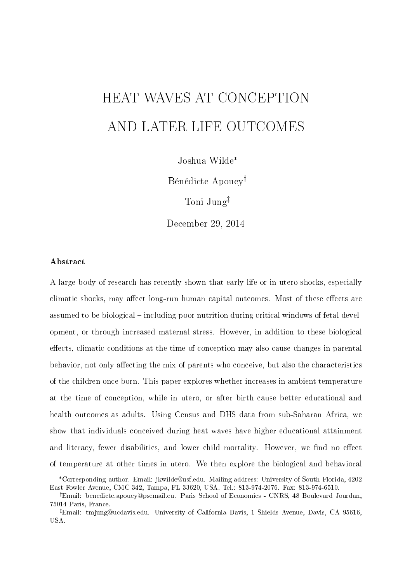# HEAT WAVES AT CONCEPTION AND LATER LIFE OUTCOMES

Joshua Wilde\*

Bénédicte Apouey

Toni Jung

December 29, 2014

#### Abstract

A large body of research has recently shown that early life or in utero shocks, especially climatic shocks, may affect long-run human capital outcomes. Most of these effects are assumed to be biological – including poor nutrition during critical windows of fetal development, or through increased maternal stress. However, in addition to these biological effects, climatic conditions at the time of conception may also cause changes in parental behavior, not only affecting the mix of parents who conceive, but also the characteristics of the children once born. This paper explores whether increases in ambient temperature at the time of conception, while in utero, or after birth cause better educational and health outcomes as adults. Using Census and DHS data from sub-Saharan Africa, we show that individuals conceived during heat waves have higher educational attainment and literacy, fewer disabilities, and lower child mortality. However, we find no effect of temperature at other times in utero. We then explore the biological and behavioral

<sup>\*</sup>Corresponding author. Email: jkwilde@usf.edu. Mailing address: University of South Florida, 4202 East Fowler Avenue, CMC 342, Tampa, FL 33620, USA. Tel.: 813-974-2076. Fax: 813-974-6510.

Email: benedicte.apouey@psemail.eu. Paris School of Economics - CNRS, 48 Boulevard Jourdan, 75014 Paris, France.

Email: tmjung@ucdavis.edu. University of California Davis, 1 Shields Avenue, Davis, CA 95616, USA.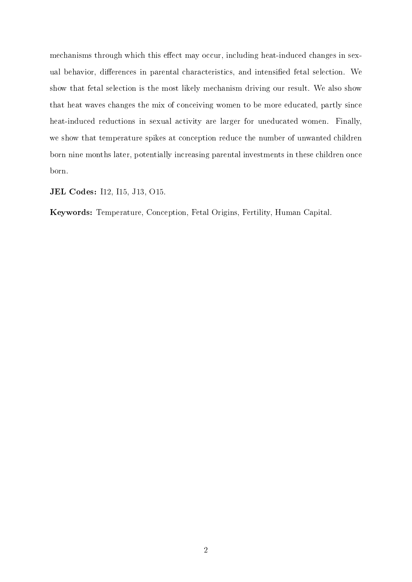mechanisms through which this effect may occur, including heat-induced changes in sexual behavior, differences in parental characteristics, and intensified fetal selection. We show that fetal selection is the most likely mechanism driving our result. We also show that heat waves changes the mix of conceiving women to be more educated, partly since heat-induced reductions in sexual activity are larger for uneducated women. Finally, we show that temperature spikes at conception reduce the number of unwanted children born nine months later, potentially increasing parental investments in these children once born.

JEL Codes: I12, I15, J13, O15.

Keywords: Temperature, Conception, Fetal Origins, Fertility, Human Capital.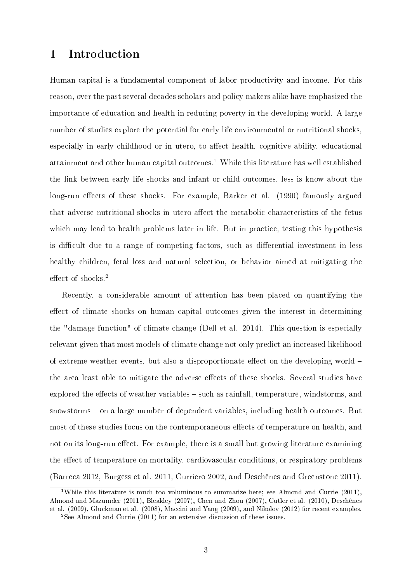## 1 Introduction

Human capital is a fundamental component of labor productivity and income. For this reason, over the past several decades scholars and policy makers alike have emphasized the importance of education and health in reducing poverty in the developing world. A large number of studies explore the potential for early life environmental or nutritional shocks, especially in early childhood or in utero, to affect health, cognitive ability, educational attainment and other human capital outcomes.<sup>1</sup> While this literature has well established the link between early life shocks and infant or child outcomes, less is know about the long-run effects of these shocks. For example, Barker et al. (1990) famously argued that adverse nutritional shocks in utero affect the metabolic characteristics of the fetus which may lead to health problems later in life. But in practice, testing this hypothesis is difficult due to a range of competing factors, such as differential investment in less healthy children, fetal loss and natural selection, or behavior aimed at mitigating the effect of shocks. $2$ 

Recently, a considerable amount of attention has been placed on quantifying the effect of climate shocks on human capital outcomes given the interest in determining the "damage function" of climate change (Dell et al. 2014). This question is especially relevant given that most models of climate change not only predict an increased likelihood of extreme weather events, but also a disproportionate effect on the developing world  $$ the area least able to mitigate the adverse effects of these shocks. Several studies have explored the effects of weather variables  $-$  such as rainfall, temperature, windstorms, and  $s$ nowstorms  $-$  on a large number of dependent variables, including health outcomes. But most of these studies focus on the contemporaneous effects of temperature on health, and not on its long-run effect. For example, there is a small but growing literature examining the effect of temperature on mortality, cardiovascular conditions, or respiratory problems (Barreca 2012, Burgess et al. 2011, Curriero 2002, and Deschênes and Greenstone 2011).

<sup>&</sup>lt;sup>1</sup>While this literature is much too voluminous to summarize here; see Almond and Currie (2011), Almond and Mazumder (2011), Bleakley (2007), Chen and Zhou (2007), Cutler et al. (2010), Deschênes et al. (2009), Gluckman et al. (2008), Maccini and Yang (2009), and Nikolov (2012) for recent examples. <sup>2</sup>See Almond and Currie (2011) for an extensive discussion of these issues.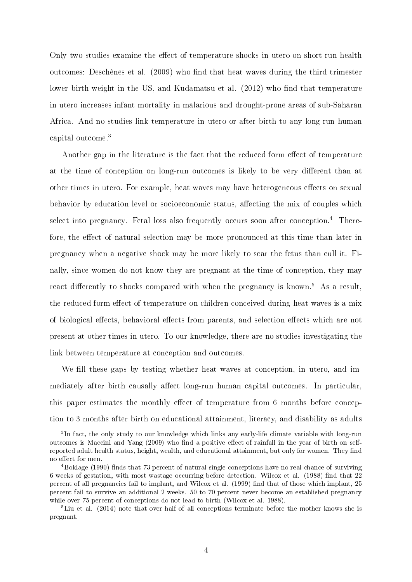Only two studies examine the effect of temperature shocks in utero on short-run health outcomes: Deschênes et al. (2009) who find that heat waves during the third trimester lower birth weight in the US, and Kudamatsu et al. (2012) who find that temperature in utero increases infant mortality in malarious and drought-prone areas of sub-Saharan Africa. And no studies link temperature in utero or after birth to any long-run human capital outcome.<sup>3</sup>

Another gap in the literature is the fact that the reduced form effect of temperature at the time of conception on long-run outcomes is likely to be very different than at other times in utero. For example, heat waves may have heterogeneous effects on sexual behavior by education level or socioeconomic status, affecting the mix of couples which select into pregnancy. Fetal loss also frequently occurs soon after conception.<sup>4</sup> Therefore, the effect of natural selection may be more pronounced at this time than later in pregnancy when a negative shock may be more likely to scar the fetus than cull it. Finally, since women do not know they are pregnant at the time of conception, they may react differently to shocks compared with when the pregnancy is known.<sup>5</sup> As a result, the reduced-form effect of temperature on children conceived during heat waves is a mix of biological effects, behavioral effects from parents, and selection effects which are not present at other times in utero. To our knowledge, there are no studies investigating the link between temperature at conception and outcomes.

We fill these gaps by testing whether heat waves at conception, in utero, and immediately after birth causally affect long-run human capital outcomes. In particular, this paper estimates the monthly effect of temperature from 6 months before conception to 3 months after birth on educational attainment, literacy, and disability as adults

<sup>&</sup>lt;sup>3</sup>In fact, the only study to our knowledge which links any early-life climate variable with long-run outcomes is Maccini and Yang (2009) who find a positive effect of rainfall in the year of birth on selfreported adult health status, height, wealth, and educational attainment, but only for women. They find no effect for men.

<sup>&</sup>lt;sup>4</sup>Boklage (1990) finds that 73 percent of natural single conceptions have no real chance of surviving 6 weeks of gestation, with most wastage occurring before detection. Wilcox et al. (1988) find that 22 percent of all pregnancies fail to implant, and Wilcox et al. (1999) find that of those which implant, 25 percent fail to survive an additional 2 weeks. 50 to 70 percent never become an established pregnancy while over 75 percent of conceptions do not lead to birth (Wilcox et al. 1988).

<sup>&</sup>lt;sup>5</sup>Liu et al. (2014) note that over half of all conceptions terminate before the mother knows she is pregnant.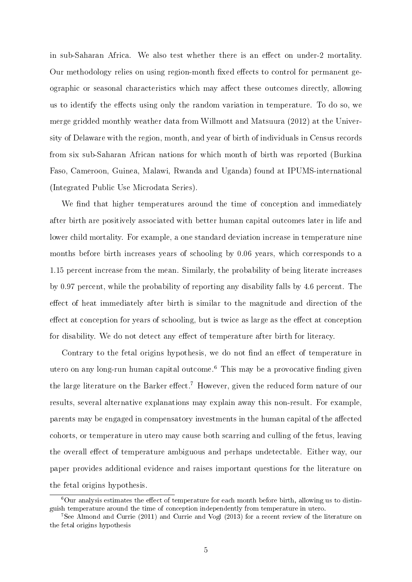in sub-Saharan Africa. We also test whether there is an effect on under-2 mortality. Our methodology relies on using region-month fixed effects to control for permanent geographic or seasonal characteristics which may affect these outcomes directly, allowing us to identify the effects using only the random variation in temperature. To do so, we merge gridded monthly weather data from Willmott and Matsuura (2012) at the University of Delaware with the region, month, and year of birth of individuals in Census records from six sub-Saharan African nations for which month of birth was reported (Burkina Faso, Cameroon, Guinea, Malawi, Rwanda and Uganda) found at IPUMS-international (Integrated Public Use Microdata Series).

We find that higher temperatures around the time of conception and immediately after birth are positively associated with better human capital outcomes later in life and lower child mortality. For example, a one standard deviation increase in temperature nine months before birth increases years of schooling by 0.06 years, which corresponds to a 1.15 percent increase from the mean. Similarly, the probability of being literate increases by 0.97 percent, while the probability of reporting any disability falls by 4.6 percent. The effect of heat immediately after birth is similar to the magnitude and direction of the effect at conception for years of schooling, but is twice as large as the effect at conception for disability. We do not detect any effect of temperature after birth for literacy.

Contrary to the fetal origins hypothesis, we do not find an effect of temperature in utero on any long-run human capital outcome.<sup>6</sup> This may be a provocative finding given the large literature on the Barker effect.<sup>7</sup> However, given the reduced form nature of our results, several alternative explanations may explain away this non-result. For example, parents may be engaged in compensatory investments in the human capital of the affected cohorts, or temperature in utero may cause both scarring and culling of the fetus, leaving the overall effect of temperature ambiguous and perhaps undetectable. Either way, our paper provides additional evidence and raises important questions for the literature on the fetal origins hypothesis.

 $6$ Our analysis estimates the effect of temperature for each month before birth, allowing us to distinguish temperature around the time of conception independently from temperature in utero.

<sup>7</sup>See Almond and Currie (2011) and Currie and Vogl (2013) for a recent review of the literature on the fetal origins hypothesis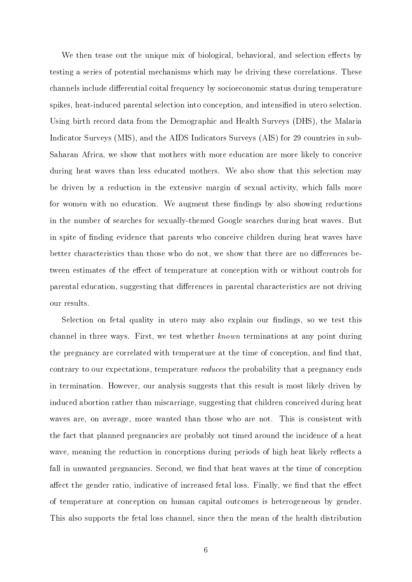We then tease out the unique mix of biological, behavioral, and selection effects by testing a series of potential mechanisms which may be driving these correlations. These channels include differential coital frequency by socioeconomic status during temperature spikes, heat-induced parental selection into conception, and intensified in utero selection. Using birth record data from the Demographic and Health Surveys (DHS), the Malaria Indicator Surveys (MIS), and the AIDS Indicators Surveys (AIS) for 29 countries in sub-Saharan Africa, we show that mothers with more education are more likely to conceive during heat waves than less educated mothers. We also show that this selection may be driven by a reduction in the extensive margin of sexual activity, which falls more for women with no education. We augment these findings by also showing reductions in the number of searches for sexually-themed Google searches during heat waves. But in spite of finding evidence that parents who conceive children during heat waves have better characteristics than those who do not, we show that there are no differences between estimates of the effect of temperature at conception with or without controls for parental education, suggesting that differences in parental characteristics are not driving our results.

Selection on fetal quality in utero may also explain our findings, so we test this channel in three ways. First, we test whether known terminations at any point during the pregnancy are correlated with temperature at the time of conception, and find that, contrary to our expectations, temperature reduces the probability that a pregnancy ends in termination. However, our analysis suggests that this result is most likely driven by induced abortion rather than miscarriage, suggesting that children conceived during heat waves are, on average, more wanted than those who are not. This is consistent with the fact that planned pregnancies are probably not timed around the incidence of a heat wave, meaning the reduction in conceptions during periods of high heat likely reflects a fall in unwanted pregnancies. Second, we find that heat waves at the time of conception affect the gender ratio, indicative of increased fetal loss. Finally, we find that the effect of temperature at conception on human capital outcomes is heterogeneous by gender. This also supports the fetal loss channel, since then the mean of the health distribution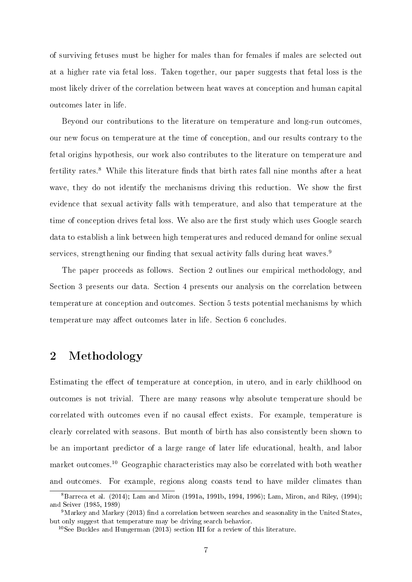of surviving fetuses must be higher for males than for females if males are selected out at a higher rate via fetal loss. Taken together, our paper suggests that fetal loss is the most likely driver of the correlation between heat waves at conception and human capital outcomes later in life.

Beyond our contributions to the literature on temperature and long-run outcomes, our new focus on temperature at the time of conception, and our results contrary to the fetal origins hypothesis, our work also contributes to the literature on temperature and fertility rates.<sup>8</sup> While this literature finds that birth rates fall nine months after a heat wave, they do not identify the mechanisms driving this reduction. We show the first evidence that sexual activity falls with temperature, and also that temperature at the time of conception drives fetal loss. We also are the first study which uses Google search data to establish a link between high temperatures and reduced demand for online sexual services, strengthening our finding that sexual activity falls during heat waves.<sup>9</sup>

The paper proceeds as follows. Section 2 outlines our empirical methodology, and Section 3 presents our data. Section 4 presents our analysis on the correlation between temperature at conception and outcomes. Section 5 tests potential mechanisms by which temperature may affect outcomes later in life. Section 6 concludes.

## 2 Methodology

Estimating the effect of temperature at conception, in utero, and in early childhood on outcomes is not trivial. There are many reasons why absolute temperature should be correlated with outcomes even if no causal effect exists. For example, temperature is clearly correlated with seasons. But month of birth has also consistently been shown to be an important predictor of a large range of later life educational, health, and labor market outcomes.<sup>10</sup> Geographic characteristics may also be correlated with both weather and outcomes. For example, regions along coasts tend to have milder climates than

<sup>8</sup>Barreca et al. (2014); Lam and Miron (1991a, 1991b, 1994, 1996); Lam, Miron, and Riley, (1994); and Seiver (1985, 1989)

 $9$ Markey and Markey (2013) find a correlation between searches and seasonality in the United States, but only suggest that temperature may be driving search behavior.

<sup>10</sup>See Buckles and Hungerman (2013) section III for a review of this literature.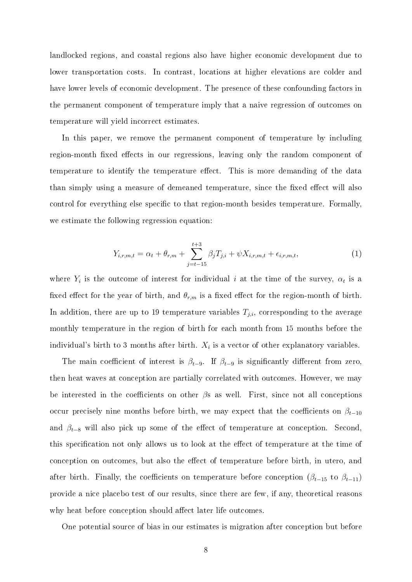landlocked regions, and coastal regions also have higher economic development due to lower transportation costs. In contrast, locations at higher elevations are colder and have lower levels of economic development. The presence of these confounding factors in the permanent component of temperature imply that a naive regression of outcomes on temperature will yield incorrect estimates.

In this paper, we remove the permanent component of temperature by including region-month fixed effects in our regressions, leaving only the random component of temperature to identify the temperature effect. This is more demanding of the data than simply using a measure of demeaned temperature, since the fixed effect will also control for everything else specific to that region-month besides temperature. Formally, we estimate the following regression equation:

$$
Y_{i,r,m,t} = \alpha_t + \theta_{r,m} + \sum_{j=t-15}^{t+3} \beta_j T_{j,i} + \psi X_{i,r,m,t} + \epsilon_{i,r,m,t},
$$
\n(1)

where  $Y_i$  is the outcome of interest for individual i at the time of the survey,  $\alpha_t$  is a fixed effect for the year of birth, and  $\theta_{r,m}$  is a fixed effect for the region-month of birth. In addition, there are up to 19 temperature variables  $T_{j,i}$ , corresponding to the average monthly temperature in the region of birth for each month from 15 months before the individual's birth to 3 months after birth.  $X_i$  is a vector of other explanatory variables.

The main coefficient of interest is  $\beta_{t-9}$ . If  $\beta_{t-9}$  is significantly different from zero, then heat waves at conception are partially correlated with outcomes. However, we may be interested in the coefficients on other  $\beta$ s as well. First, since not all conceptions occur precisely nine months before birth, we may expect that the coefficients on  $\beta_{t-10}$ and  $\beta_{t-8}$  will also pick up some of the effect of temperature at conception. Second, this specification not only allows us to look at the effect of temperature at the time of conception on outcomes, but also the effect of temperature before birth, in utero, and after birth. Finally, the coefficients on temperature before conception ( $\beta_{t-15}$  to  $\beta_{t-11}$ ) provide a nice placebo test of our results, since there are few, if any, theoretical reasons why heat before conception should affect later life outcomes.

One potential source of bias in our estimates is migration after conception but before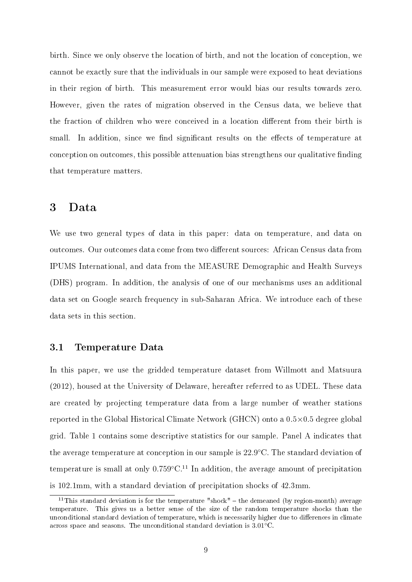birth. Since we only observe the location of birth, and not the location of conception, we cannot be exactly sure that the individuals in our sample were exposed to heat deviations in their region of birth. This measurement error would bias our results towards zero. However, given the rates of migration observed in the Census data, we believe that the fraction of children who were conceived in a location different from their birth is small. In addition, since we find significant results on the effects of temperature at conception on outcomes, this possible attenuation bias strengthens our qualitative finding that temperature matters.

### 3 Data

We use two general types of data in this paper: data on temperature, and data on outcomes. Our outcomes data come from two dierent sources: African Census data from IPUMS International, and data from the MEASURE Demographic and Health Surveys (DHS) program. In addition, the analysis of one of our mechanisms uses an additional data set on Google search frequency in sub-Saharan Africa. We introduce each of these data sets in this section.

#### 3.1 Temperature Data

In this paper, we use the gridded temperature dataset from Willmott and Matsuura (2012), housed at the University of Delaware, hereafter referred to as UDEL. These data are created by projecting temperature data from a large number of weather stations reported in the Global Historical Climate Network (GHCN) onto a 0.5×0.5 degree global grid. Table 1 contains some descriptive statistics for our sample. Panel A indicates that the average temperature at conception in our sample is 22.9°C. The standard deviation of temperature is small at only  $0.759 \degree C^{11}$  In addition, the average amount of precipitation is 102.1mm, with a standard deviation of precipitation shocks of 42.3mm.

<sup>&</sup>lt;sup>11</sup>This standard deviation is for the temperature "shock"  $-$  the demeaned (by region-month) average temperature. This gives us a better sense of the size of the random temperature shocks than the unconditional standard deviation of temperature, which is necessarily higher due to differences in climate across space and seasons. The unconditional standard deviation is 3.01◦C.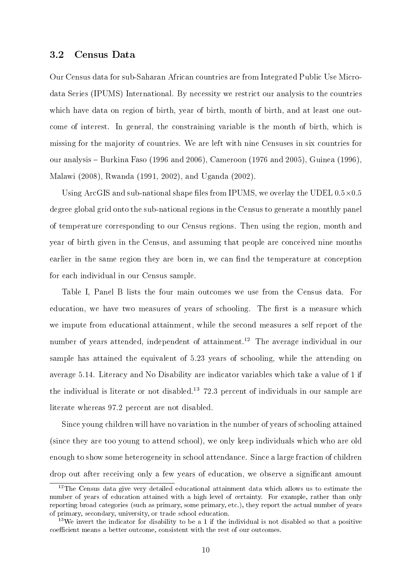#### 3.2 Census Data

Our Census data for sub-Saharan African countries are from Integrated Public Use Microdata Series (IPUMS) International. By necessity we restrict our analysis to the countries which have data on region of birth, year of birth, month of birth, and at least one outcome of interest. In general, the constraining variable is the month of birth, which is missing for the majority of countries. We are left with nine Censuses in six countries for our analysis – Burkina Faso (1996 and 2006), Cameroon (1976 and 2005), Guinea (1996). Malawi (2008), Rwanda (1991, 2002), and Uganda (2002).

Using ArcGIS and sub-national shape files from IPUMS, we overlay the UDEL  $0.5\times0.5$ degree global grid onto the sub-national regions in the Census to generate a monthly panel of temperature corresponding to our Census regions. Then using the region, month and year of birth given in the Census, and assuming that people are conceived nine months earlier in the same region they are born in, we can find the temperature at conception for each individual in our Census sample.

Table I, Panel B lists the four main outcomes we use from the Census data. For education, we have two measures of years of schooling. The first is a measure which we impute from educational attainment, while the second measures a self report of the number of years attended, independent of attainment.<sup>12</sup> The average individual in our sample has attained the equivalent of 5.23 years of schooling, while the attending on average 5.14. Literacy and No Disability are indicator variables which take a value of 1 if the individual is literate or not disabled.<sup>13</sup> 72.3 percent of individuals in our sample are literate whereas 97.2 percent are not disabled.

Since young children will have no variation in the number of years of schooling attained (since they are too young to attend school), we only keep individuals which who are old enough to show some heterogeneity in school attendance. Since a large fraction of children drop out after receiving only a few years of education, we observe a significant amount

 $12$ The Census data give very detailed educational attainment data which allows us to estimate the number of years of education attained with a high level of certainty. For example, rather than only reporting broad categories (such as primary, some primary, etc.), they report the actual number of years of primary, secondary, university, or trade school education.

<sup>&</sup>lt;sup>13</sup>We invert the indicator for disability to be a 1 if the individual is not disabled so that a positive coefficient means a better outcome, consistent with the rest of our outcomes.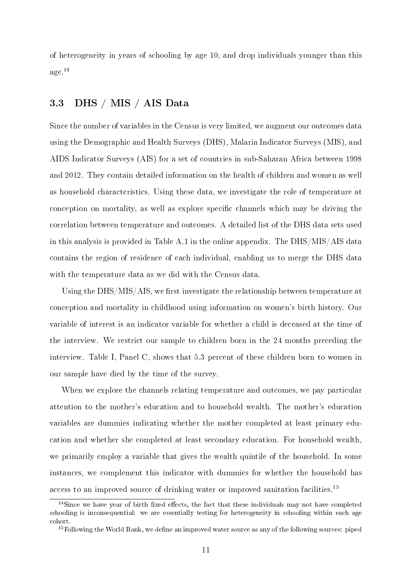of heterogeneity in years of schooling by age 10, and drop individuals younger than this age.<sup>14</sup>

#### 3.3 DHS / MIS / AIS Data

Since the number of variables in the Census is very limited, we augment our outcomes data using the Demographic and Health Surveys (DHS), Malaria Indicator Surveys (MIS), and AIDS Indicator Surveys (AIS) for a set of countries in sub-Saharan Africa between 1998 and 2012. They contain detailed information on the health of children and women as well as household characteristics. Using these data, we investigate the role of temperature at conception on mortality, as well as explore specific channels which may be driving the correlation between temperature and outcomes. A detailed list of the DHS data sets used in this analysis is provided in Table A.1 in the online appendix. The DHS/MIS/AIS data contains the region of residence of each individual, enabling us to merge the DHS data with the temperature data as we did with the Census data.

Using the  $\text{DHS} / \text{MIS} / \text{AIS}$ , we first investigate the relationship between temperature at conception and mortality in childhood using information on women's birth history. Our variable of interest is an indicator variable for whether a child is deceased at the time of the interview. We restrict our sample to children born in the 24 months preceding the interview. Table I, Panel C, shows that 5.3 percent of these children born to women in our sample have died by the time of the survey.

When we explore the channels relating temperature and outcomes, we pay particular attention to the mother's education and to household wealth. The mother's education variables are dummies indicating whether the mother completed at least primary education and whether she completed at least secondary education. For household wealth, we primarily employ a variable that gives the wealth quintile of the household. In some instances, we complement this indicator with dummies for whether the household has access to an improved source of drinking water or improved sanitation facilities.<sup>15</sup>

 $14$ Since we have year of birth fixed effects, the fact that these individuals may not have completed schooling is inconsequential: we are essentially testing for heterogeneity in schooling within each age cohort.

<sup>&</sup>lt;sup>15</sup>Following the World Bank, we define an improved water source as any of the following sources: piped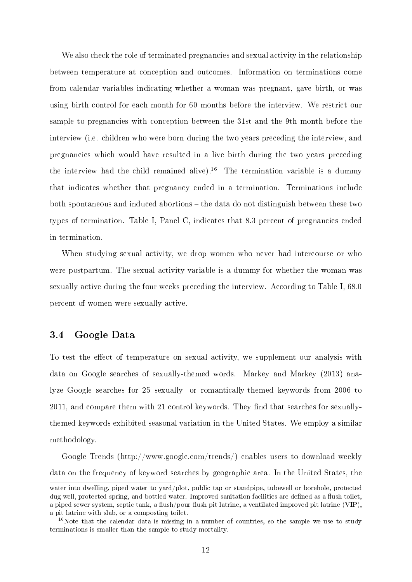We also check the role of terminated pregnancies and sexual activity in the relationship between temperature at conception and outcomes. Information on terminations come from calendar variables indicating whether a woman was pregnant, gave birth, or was using birth control for each month for 60 months before the interview. We restrict our sample to pregnancies with conception between the 31st and the 9th month before the interview (i.e. children who were born during the two years preceding the interview, and pregnancies which would have resulted in a live birth during the two years preceding the interview had the child remained alive).<sup>16</sup> The termination variable is a dummy that indicates whether that pregnancy ended in a termination. Terminations include both spontaneous and induced abortions the data do not distinguish between these two types of termination. Table I, Panel C, indicates that 8.3 percent of pregnancies ended in termination.

When studying sexual activity, we drop women who never had intercourse or who were postpartum. The sexual activity variable is a dummy for whether the woman was sexually active during the four weeks preceding the interview. According to Table I, 68.0 percent of women were sexually active.

#### 3.4 Google Data

To test the effect of temperature on sexual activity, we supplement our analysis with data on Google searches of sexually-themed words. Markey and Markey (2013) analyze Google searches for 25 sexually- or romantically-themed keywords from 2006 to 2011, and compare them with 21 control keywords. They find that searches for sexuallythemed keywords exhibited seasonal variation in the United States. We employ a similar methodology.

Google Trends (http://www.google.com/trends/) enables users to download weekly data on the frequency of keyword searches by geographic area. In the United States, the

water into dwelling, piped water to yard/plot, public tap or standpipe, tubewell or borehole, protected dug well, protected spring, and bottled water. Improved sanitation facilities are defined as a flush toilet, a piped sewer system, septic tank, a flush/pour flush pit latrine, a ventilated improved pit latrine (VIP), a pit latrine with slab, or a composting toilet.

 $16$ Note that the calendar data is missing in a number of countries, so the sample we use to study terminations is smaller than the sample to study mortality.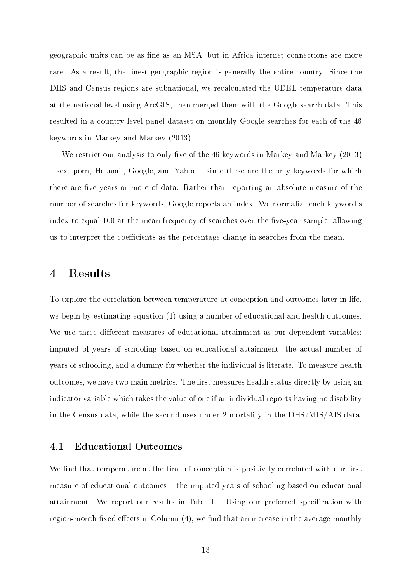geographic units can be as fine as an MSA, but in Africa internet connections are more rare. As a result, the finest geographic region is generally the entire country. Since the DHS and Census regions are subnational, we recalculated the UDEL temperature data at the national level using ArcGIS, then merged them with the Google search data. This resulted in a country-level panel dataset on monthly Google searches for each of the 46 keywords in Markey and Markey (2013).

We restrict our analysis to only five of the 46 keywords in Markey and Markey (2013) - sex, porn, Hotmail, Google, and Yahoo - since these are the only keywords for which there are five years or more of data. Rather than reporting an absolute measure of the number of searches for keywords, Google reports an index. We normalize each keyword's index to equal 100 at the mean frequency of searches over the five-year sample, allowing us to interpret the coefficients as the percentage change in searches from the mean.

### 4 Results

To explore the correlation between temperature at conception and outcomes later in life, we begin by estimating equation (1) using a number of educational and health outcomes. We use three different measures of educational attainment as our dependent variables: imputed of years of schooling based on educational attainment, the actual number of years of schooling, and a dummy for whether the individual is literate. To measure health outcomes, we have two main metrics. The first measures health status directly by using an indicator variable which takes the value of one if an individual reports having no disability in the Census data, while the second uses under-2 mortality in the DHS/MIS/AIS data.

#### 4.1 Educational Outcomes

We find that temperature at the time of conception is positively correlated with our first measure of educational outcomes – the imputed years of schooling based on educational attainment. We report our results in Table II. Using our preferred specification with region-month fixed effects in Column  $(4)$ , we find that an increase in the average monthly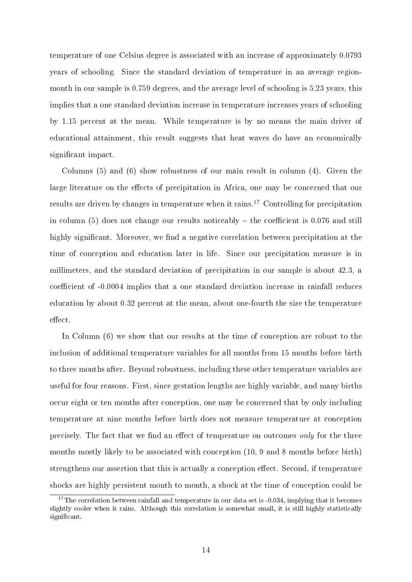temperature of one Celsius degree is associated with an increase of approximately 0.0793 years of schooling. Since the standard deviation of temperature in an average regionmonth in our sample is 0.759 degrees, and the average level of schooling is 5.23 years, this implies that a one standard deviation increase in temperature increases years of schooling by 1.15 percent at the mean. While temperature is by no means the main driver of educational attainment, this result suggests that heat waves do have an economically significant impact.

Columns (5) and (6) show robustness of our main result in column (4). Given the large literature on the effects of precipitation in Africa, one may be concerned that our results are driven by changes in temperature when it rains.<sup>17</sup> Controlling for precipitation in column (5) does not change our results noticeably  $-$  the coefficient is 0.076 and still highly significant. Moreover, we find a negative correlation between precipitation at the time of conception and education later in life. Since our precipitation measure is in millimeters, and the standard deviation of precipitation in our sample is about 42.3, a coefficient of  $-0.0004$  implies that a one standard deviation increase in rainfall reduces education by about 0.32 percent at the mean, about one-fourth the size the temperature effect.

In Column  $(6)$  we show that our results at the time of conception are robust to the inclusion of additional temperature variables for all months from 15 months before birth to three months after. Beyond robustness, including these other temperature variables are useful for four reasons. First, since gestation lengths are highly variable, and many births occur eight or ten months after conception, one may be concerned that by only including temperature at nine months before birth does not measure temperature at conception precisely. The fact that we find an effect of temperature on outcomes only for the three months mostly likely to be associated with conception (10, 9 and 8 months before birth) strengthens our assertion that this is actually a conception effect. Second, if temperature shocks are highly persistent month to month, a shock at the time of conception could be

<sup>&</sup>lt;sup>17</sup>The correlation between rainfall and temperature in our data set is  $-0.034$ , implying that it becomes slightly cooler when it rains. Although this correlation is somewhat small, it is still highly statistically significant.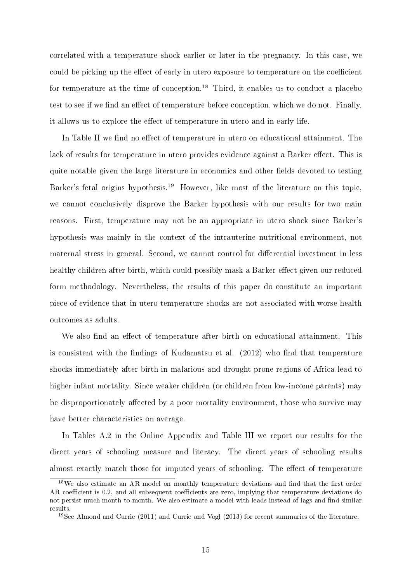correlated with a temperature shock earlier or later in the pregnancy. In this case, we could be picking up the effect of early in utero exposure to temperature on the coefficient for temperature at the time of conception.<sup>18</sup> Third, it enables us to conduct a placebo test to see if we find an effect of temperature before conception, which we do not. Finally, it allows us to explore the effect of temperature in utero and in early life.

In Table II we find no effect of temperature in utero on educational attainment. The lack of results for temperature in utero provides evidence against a Barker effect. This is quite notable given the large literature in economics and other fields devoted to testing Barker's fetal origins hypothesis.<sup>19</sup> However, like most of the literature on this topic, we cannot conclusively disprove the Barker hypothesis with our results for two main reasons. First, temperature may not be an appropriate in utero shock since Barker's hypothesis was mainly in the context of the intrauterine nutritional environment, not maternal stress in general. Second, we cannot control for differential investment in less healthy children after birth, which could possibly mask a Barker effect given our reduced form methodology. Nevertheless, the results of this paper do constitute an important piece of evidence that in utero temperature shocks are not associated with worse health outcomes as adults.

We also find an effect of temperature after birth on educational attainment. This is consistent with the findings of Kudamatsu et al.  $(2012)$  who find that temperature shocks immediately after birth in malarious and drought-prone regions of Africa lead to higher infant mortality. Since weaker children (or children from low-income parents) may be disproportionately affected by a poor mortality environment, those who survive may have better characteristics on average.

In Tables A.2 in the Online Appendix and Table III we report our results for the direct years of schooling measure and literacy. The direct years of schooling results almost exactly match those for imputed years of schooling. The effect of temperature

 $18\text{We also estimate an AR model on monthly temperature deviations and find that the first order}$ AR coefficient is 0.2, and all subsequent coefficients are zero, implying that temperature deviations do not persist much month to month. We also estimate a model with leads instead of lags and find similar results.

<sup>19</sup>See Almond and Currie (2011) and Currie and Vogl (2013) for recent summaries of the literature.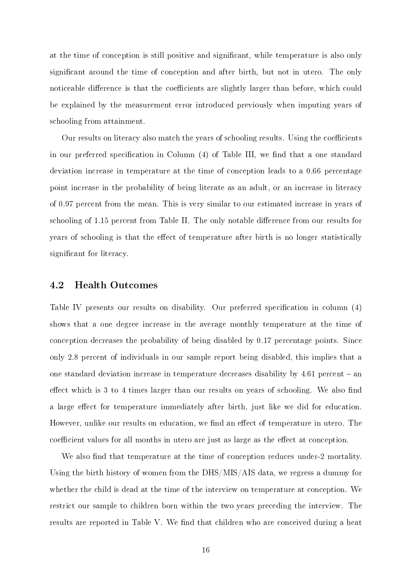at the time of conception is still positive and signicant, while temperature is also only significant around the time of conception and after birth, but not in utero. The only noticeable difference is that the coefficients are slightly larger than before, which could be explained by the measurement error introduced previously when imputing years of schooling from attainment.

Our results on literacy also match the years of schooling results. Using the coefficients in our preferred specification in Column  $(4)$  of Table III, we find that a one standard deviation increase in temperature at the time of conception leads to a 0.66 percentage point increase in the probability of being literate as an adult, or an increase in literacy of 0.97 percent from the mean. This is very similar to our estimated increase in years of schooling of 1.15 percent from Table II. The only notable difference from our results for years of schooling is that the effect of temperature after birth is no longer statistically significant for literacy.

#### 4.2 Health Outcomes

Table IV presents our results on disability. Our preferred specification in column (4) shows that a one degree increase in the average monthly temperature at the time of conception decreases the probability of being disabled by 0.17 percentage points. Since only 2.8 percent of individuals in our sample report being disabled, this implies that a one standard deviation increase in temperature decreases disability by  $4.61$  percent  $-$  an effect which is  $3$  to  $4$  times larger than our results on years of schooling. We also find a large effect for temperature immediately after birth, just like we did for education. However, unlike our results on education, we find an effect of temperature in utero. The coefficient values for all months in utero are just as large as the effect at conception.

We also find that temperature at the time of conception reduces under-2 mortality. Using the birth history of women from the DHS/MIS/AIS data, we regress a dummy for whether the child is dead at the time of the interview on temperature at conception. We restrict our sample to children born within the two years preceding the interview. The results are reported in Table V. We find that children who are conceived during a heat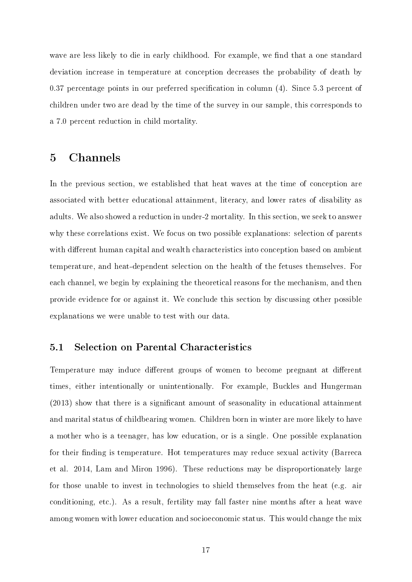wave are less likely to die in early childhood. For example, we find that a one standard deviation increase in temperature at conception decreases the probability of death by  $0.37$  percentage points in our preferred specification in column  $(4)$ . Since 5.3 percent of children under two are dead by the time of the survey in our sample, this corresponds to a 7.0 percent reduction in child mortality.

## 5 Channels

In the previous section, we established that heat waves at the time of conception are associated with better educational attainment, literacy, and lower rates of disability as adults. We also showed a reduction in under-2 mortality. In this section, we seek to answer why these correlations exist. We focus on two possible explanations: selection of parents with different human capital and wealth characteristics into conception based on ambient temperature, and heat-dependent selection on the health of the fetuses themselves. For each channel, we begin by explaining the theoretical reasons for the mechanism, and then provide evidence for or against it. We conclude this section by discussing other possible explanations we were unable to test with our data.

#### 5.1 Selection on Parental Characteristics

Temperature may induce different groups of women to become pregnant at different times, either intentionally or unintentionally. For example, Buckles and Hungerman (2013) show that there is a signicant amount of seasonality in educational attainment and marital status of childbearing women. Children born in winter are more likely to have a mother who is a teenager, has low education, or is a single. One possible explanation for their finding is temperature. Hot temperatures may reduce sexual activity (Barreca et al. 2014, Lam and Miron 1996). These reductions may be disproportionately large for those unable to invest in technologies to shield themselves from the heat (e.g. air conditioning, etc.). As a result, fertility may fall faster nine months after a heat wave among women with lower education and socioeconomic status. This would change the mix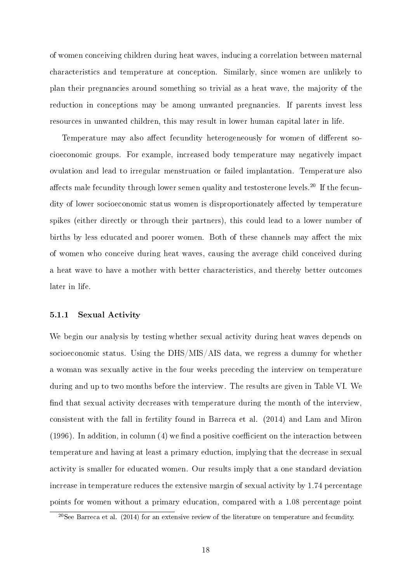of women conceiving children during heat waves, inducing a correlation between maternal characteristics and temperature at conception. Similarly, since women are unlikely to plan their pregnancies around something so trivial as a heat wave, the majority of the reduction in conceptions may be among unwanted pregnancies. If parents invest less resources in unwanted children, this may result in lower human capital later in life.

Temperature may also affect fecundity heterogeneously for women of different socioeconomic groups. For example, increased body temperature may negatively impact ovulation and lead to irregular menstruation or failed implantation. Temperature also affects male fecundity through lower semen quality and testosterone levels.<sup>20</sup> If the fecundity of lower socioeconomic status women is disproportionately affected by temperature spikes (either directly or through their partners), this could lead to a lower number of births by less educated and poorer women. Both of these channels may affect the mix of women who conceive during heat waves, causing the average child conceived during a heat wave to have a mother with better characteristics, and thereby better outcomes later in life.

#### 5.1.1 Sexual Activity

We begin our analysis by testing whether sexual activity during heat waves depends on socioeconomic status. Using the DHS/MIS/AIS data, we regress a dummy for whether a woman was sexually active in the four weeks preceding the interview on temperature during and up to two months before the interview. The results are given in Table VI. We find that sexual activity decreases with temperature during the month of the interview, consistent with the fall in fertility found in Barreca et al. (2014) and Lam and Miron (1996). In addition, in column  $(4)$  we find a positive coefficient on the interaction between temperature and having at least a primary eduction, implying that the decrease in sexual activity is smaller for educated women. Our results imply that a one standard deviation increase in temperature reduces the extensive margin of sexual activity by 1.74 percentage points for women without a primary education, compared with a 1.08 percentage point

 $20$ See Barreca et al. (2014) for an extensive review of the literature on temperature and fecundity.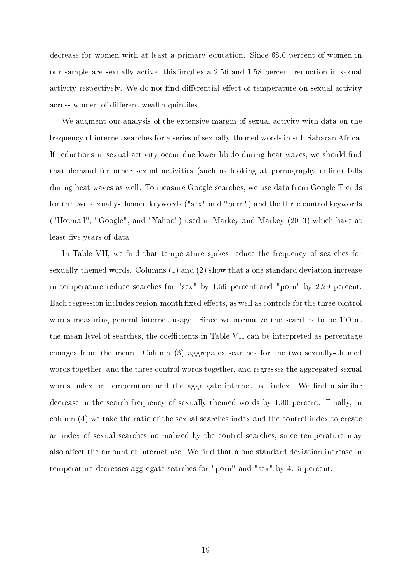decrease for women with at least a primary education. Since 68.0 percent of women in our sample are sexually active, this implies a 2.56 and 1.58 percent reduction in sexual activity respectively. We do not find differential effect of temperature on sexual activity across women of different wealth quintiles.

We augment our analysis of the extensive margin of sexual activity with data on the frequency of internet searches for a series of sexually-themed words in sub-Saharan Africa. If reductions in sexual activity occur due lower libido during heat waves, we should find that demand for other sexual activities (such as looking at pornography online) falls during heat waves as well. To measure Google searches, we use data from Google Trends for the two sexually-themed keywords ("sex" and "porn") and the three control keywords ("Hotmail", "Google", and "Yahoo") used in Markey and Markey (2013) which have at least five years of data.

In Table VII, we find that temperature spikes reduce the frequency of searches for sexually-themed words. Columns (1) and (2) show that a one standard deviation increase in temperature reduce searches for "sex" by 1.56 percent and "porn" by 2.29 percent. Each regression includes region-month fixed effects, as well as controls for the three control words measuring general internet usage. Since we normalize the searches to be 100 at the mean level of searches, the coefficients in Table VII can be interpreted as percentage changes from the mean. Column (3) aggregates searches for the two sexually-themed words together, and the three control words together, and regresses the aggregated sexual words index on temperature and the aggregate internet use index. We find a similar decrease in the search frequency of sexually themed words by 1.80 percent. Finally, in column (4) we take the ratio of the sexual searches index and the control index to create an index of sexual searches normalized by the control searches, since temperature may also affect the amount of internet use. We find that a one standard deviation increase in temperature decreases aggregate searches for "porn" and "sex" by 4.15 percent.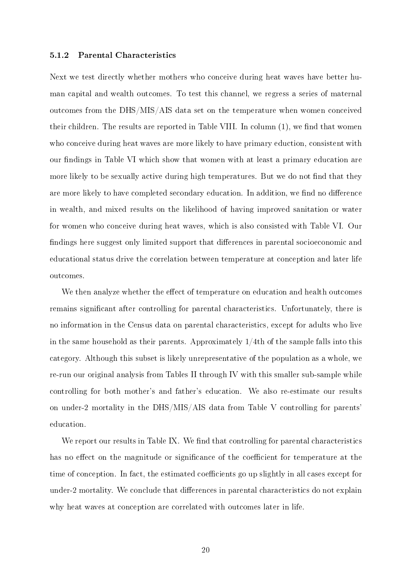#### 5.1.2 Parental Characteristics

Next we test directly whether mothers who conceive during heat waves have better human capital and wealth outcomes. To test this channel, we regress a series of maternal outcomes from the DHS/MIS/AIS data set on the temperature when women conceived their children. The results are reported in Table VIII. In column  $(1)$ , we find that women who conceive during heat waves are more likely to have primary eduction, consistent with our findings in Table VI which show that women with at least a primary education are more likely to be sexually active during high temperatures. But we do not find that they are more likely to have completed secondary education. In addition, we find no difference in wealth, and mixed results on the likelihood of having improved sanitation or water for women who conceive during heat waves, which is also consisted with Table VI. Our findings here suggest only limited support that differences in parental socioeconomic and educational status drive the correlation between temperature at conception and later life outcomes.

We then analyze whether the effect of temperature on education and health outcomes remains signicant after controlling for parental characteristics. Unfortunately, there is no information in the Census data on parental characteristics, except for adults who live in the same household as their parents. Approximately  $1/4$ th of the sample falls into this category. Although this subset is likely unrepresentative of the population as a whole, we re-run our original analysis from Tables II through IV with this smaller sub-sample while controlling for both mother's and father's education. We also re-estimate our results on under-2 mortality in the DHS/MIS/AIS data from Table V controlling for parents' education.

We report our results in Table IX. We find that controlling for parental characteristics has no effect on the magnitude or significance of the coefficient for temperature at the time of conception. In fact, the estimated coefficients go up slightly in all cases except for under-2 mortality. We conclude that differences in parental characteristics do not explain why heat waves at conception are correlated with outcomes later in life.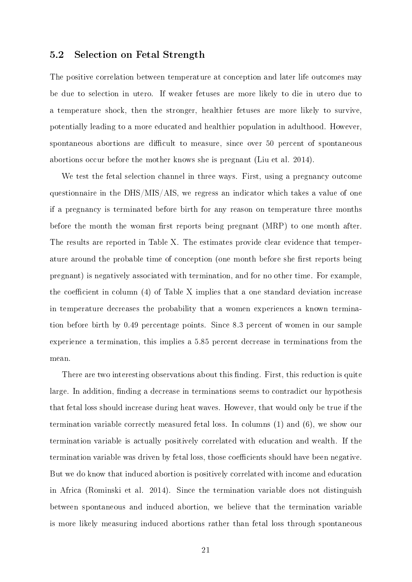#### 5.2 Selection on Fetal Strength

The positive correlation between temperature at conception and later life outcomes may be due to selection in utero. If weaker fetuses are more likely to die in utero due to a temperature shock, then the stronger, healthier fetuses are more likely to survive, potentially leading to a more educated and healthier population in adulthood. However, spontaneous abortions are difficult to measure, since over 50 percent of spontaneous abortions occur before the mother knows she is pregnant (Liu et al. 2014).

We test the fetal selection channel in three ways. First, using a pregnancy outcome questionnaire in the DHS/MIS/AIS, we regress an indicator which takes a value of one if a pregnancy is terminated before birth for any reason on temperature three months before the month the woman first reports being pregnant  $(MRP)$  to one month after. The results are reported in Table X. The estimates provide clear evidence that temperature around the probable time of conception (one month before she first reports being pregnant) is negatively associated with termination, and for no other time. For example, the coefficient in column  $(4)$  of Table X implies that a one standard deviation increase in temperature decreases the probability that a women experiences a known termination before birth by 0.49 percentage points. Since 8.3 percent of women in our sample experience a termination, this implies a 5.85 percent decrease in terminations from the mean.

There are two interesting observations about this finding. First, this reduction is quite large. In addition, finding a decrease in terminations seems to contradict our hypothesis that fetal loss should increase during heat waves. However, that would only be true if the termination variable correctly measured fetal loss. In columns (1) and (6), we show our termination variable is actually positively correlated with education and wealth. If the termination variable was driven by fetal loss, those coefficients should have been negative. But we do know that induced abortion is positively correlated with income and education in Africa (Rominski et al. 2014). Since the termination variable does not distinguish between spontaneous and induced abortion, we believe that the termination variable is more likely measuring induced abortions rather than fetal loss through spontaneous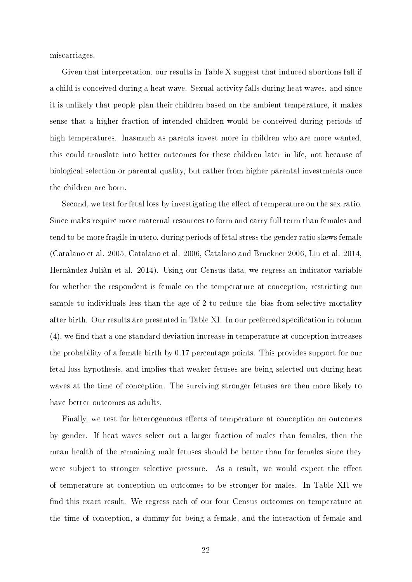miscarriages.

Given that interpretation, our results in Table X suggest that induced abortions fall if a child is conceived during a heat wave. Sexual activity falls during heat waves, and since it is unlikely that people plan their children based on the ambient temperature, it makes sense that a higher fraction of intended children would be conceived during periods of high temperatures. Inasmuch as parents invest more in children who are more wanted, this could translate into better outcomes for these children later in life, not because of biological selection or parental quality, but rather from higher parental investments once the children are born.

Second, we test for fetal loss by investigating the effect of temperature on the sex ratio. Since males require more maternal resources to form and carry full term than females and tend to be more fragile in utero, during periods of fetal stress the gender ratio skews female (Catalano et al. 2005, Catalano et al. 2006, Catalano and Bruckner 2006, Liu et al. 2014, Hernàndez-Juliàn et al. 2014). Using our Census data, we regress an indicator variable for whether the respondent is female on the temperature at conception, restricting our sample to individuals less than the age of 2 to reduce the bias from selective mortality after birth. Our results are presented in Table XI. In our preferred specification in column  $(4)$ , we find that a one standard deviation increase in temperature at conception increases the probability of a female birth by 0.17 percentage points. This provides support for our fetal loss hypothesis, and implies that weaker fetuses are being selected out during heat waves at the time of conception. The surviving stronger fetuses are then more likely to have better outcomes as adults.

Finally, we test for heterogeneous effects of temperature at conception on outcomes by gender. If heat waves select out a larger fraction of males than females, then the mean health of the remaining male fetuses should be better than for females since they were subject to stronger selective pressure. As a result, we would expect the effect of temperature at conception on outcomes to be stronger for males. In Table XII we nd this exact result. We regress each of our four Census outcomes on temperature at the time of conception, a dummy for being a female, and the interaction of female and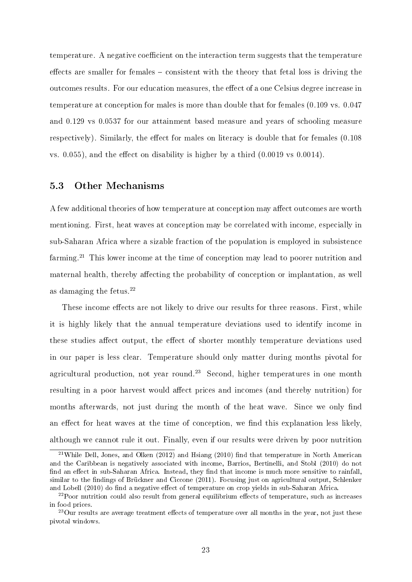temperature. A negative coefficient on the interaction term suggests that the temperature effects are smaller for females  $-\text{consistent}$  with the theory that fetal loss is driving the outcomes results. For our education measures, the effect of a one Celsius degree increase in temperature at conception for males is more than double that for females (0.109 vs. 0.047 and 0.129 vs 0.0537 for our attainment based measure and years of schooling measure respectively). Similarly, the effect for males on literacy is double that for females  $(0.108)$ vs.  $0.055$ , and the effect on disability is higher by a third  $(0.0019 \text{ vs } 0.0014)$ .

#### 5.3 Other Mechanisms

A few additional theories of how temperature at conception may affect outcomes are worth mentioning. First, heat waves at conception may be correlated with income, especially in sub-Saharan Africa where a sizable fraction of the population is employed in subsistence farming.<sup>21</sup> This lower income at the time of conception may lead to poorer nutrition and maternal health, thereby affecting the probability of conception or implantation, as well as damaging the fetus.<sup>22</sup>

These income effects are not likely to drive our results for three reasons. First, while it is highly likely that the annual temperature deviations used to identify income in these studies affect output, the effect of shorter monthly temperature deviations used in our paper is less clear. Temperature should only matter during months pivotal for agricultural production, not year round.<sup>23</sup> Second, higher temperatures in one month resulting in a poor harvest would affect prices and incomes (and thereby nutrition) for months afterwards, not just during the month of the heat wave. Since we only find an effect for heat waves at the time of conception, we find this explanation less likely, although we cannot rule it out. Finally, even if our results were driven by poor nutrition

<sup>&</sup>lt;sup>21</sup>While Dell, Jones, and Olken (2012) and Hsiang (2010) find that temperature in North American and the Caribbean is negatively associated with income, Barrios, Bertinelli, and Stobl (2010) do not find an effect in sub-Saharan Africa. Instead, they find that income is much more sensitive to rainfall. similar to the findings of Brückner and Ciccone (2011). Focusing just on agricultural output, Schlenker and Lobell (2010) do find a negative effect of temperature on crop yields in sub-Saharan Africa.

 $22$ Poor nutrition could also result from general equilibrium effects of temperature, such as increases in food prices.

 $^{23}$ Our results are average treatment effects of temperature over all months in the year, not just these pivotal windows.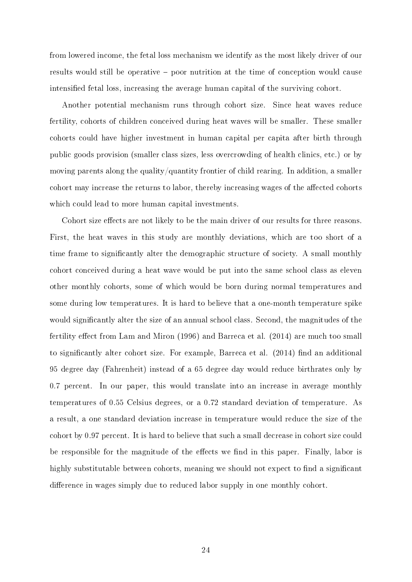from lowered income, the fetal loss mechanism we identify as the most likely driver of our results would still be operative – poor nutrition at the time of conception would cause intensified fetal loss, increasing the average human capital of the surviving cohort.

Another potential mechanism runs through cohort size. Since heat waves reduce fertility, cohorts of children conceived during heat waves will be smaller. These smaller cohorts could have higher investment in human capital per capita after birth through public goods provision (smaller class sizes, less overcrowding of health clinics, etc.) or by moving parents along the quality/quantity frontier of child rearing. In addition, a smaller cohort may increase the returns to labor, thereby increasing wages of the affected cohorts which could lead to more human capital investments.

Cohort size effects are not likely to be the main driver of our results for three reasons. First, the heat waves in this study are monthly deviations, which are too short of a time frame to significantly alter the demographic structure of society. A small monthly cohort conceived during a heat wave would be put into the same school class as eleven other monthly cohorts, some of which would be born during normal temperatures and some during low temperatures. It is hard to believe that a one-month temperature spike would significantly alter the size of an annual school class. Second, the magnitudes of the fertility effect from Lam and Miron  $(1996)$  and Barreca et al.  $(2014)$  are much too small to significantly alter cohort size. For example, Barreca et al.  $(2014)$  find an additional 95 degree day (Fahrenheit) instead of a 65 degree day would reduce birthrates only by 0.7 percent. In our paper, this would translate into an increase in average monthly temperatures of 0.55 Celsius degrees, or a 0.72 standard deviation of temperature. As a result, a one standard deviation increase in temperature would reduce the size of the cohort by 0.97 percent. It is hard to believe that such a small decrease in cohort size could be responsible for the magnitude of the effects we find in this paper. Finally, labor is highly substitutable between cohorts, meaning we should not expect to find a significant difference in wages simply due to reduced labor supply in one monthly cohort.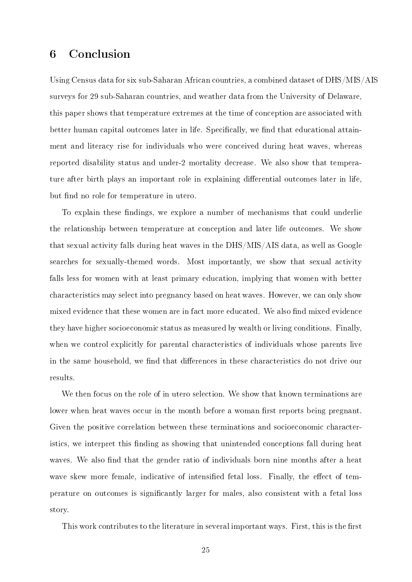## 6 Conclusion

Using Census data for six sub-Saharan African countries, a combined dataset of DHS/MIS/AIS surveys for 29 sub-Saharan countries, and weather data from the University of Delaware, this paper shows that temperature extremes at the time of conception are associated with better human capital outcomes later in life. Specifically, we find that educational attainment and literacy rise for individuals who were conceived during heat waves, whereas reported disability status and under-2 mortality decrease. We also show that temperature after birth plays an important role in explaining differential outcomes later in life, but find no role for temperature in utero.

To explain these findings, we explore a number of mechanisms that could underlie the relationship between temperature at conception and later life outcomes. We show that sexual activity falls during heat waves in the DHS/MIS/AIS data, as well as Google searches for sexually-themed words. Most importantly, we show that sexual activity falls less for women with at least primary education, implying that women with better characteristics may select into pregnancy based on heat waves. However, we can only show mixed evidence that these women are in fact more educated. We also find mixed evidence they have higher socioeconomic status as measured by wealth or living conditions. Finally, when we control explicitly for parental characteristics of individuals whose parents live in the same household, we find that differences in these characteristics do not drive our results.

We then focus on the role of in utero selection. We show that known terminations are lower when heat waves occur in the month before a woman first reports being pregnant. Given the positive correlation between these terminations and socioeconomic characteristics, we interpret this finding as showing that unintended conceptions fall during heat waves. We also find that the gender ratio of individuals born nine months after a heat wave skew more female, indicative of intensified fetal loss. Finally, the effect of temperature on outcomes is signicantly larger for males, also consistent with a fetal loss story.

This work contributes to the literature in several important ways. First, this is the first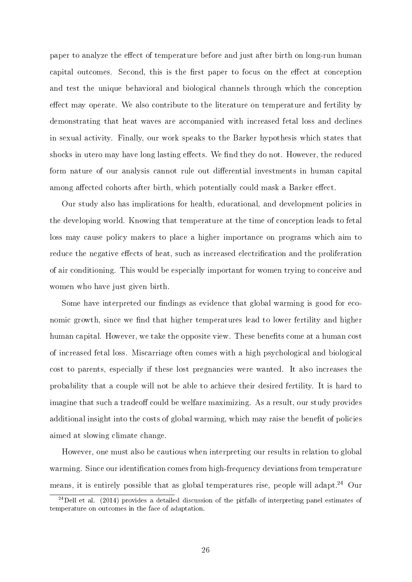paper to analyze the effect of temperature before and just after birth on long-run human capital outcomes. Second, this is the first paper to focus on the effect at conception and test the unique behavioral and biological channels through which the conception effect may operate. We also contribute to the literature on temperature and fertility by demonstrating that heat waves are accompanied with increased fetal loss and declines in sexual activity. Finally, our work speaks to the Barker hypothesis which states that shocks in utero may have long lasting effects. We find they do not. However, the reduced form nature of our analysis cannot rule out differential investments in human capital among affected cohorts after birth, which potentially could mask a Barker effect.

Our study also has implications for health, educational, and development policies in the developing world. Knowing that temperature at the time of conception leads to fetal loss may cause policy makers to place a higher importance on programs which aim to reduce the negative effects of heat, such as increased electrification and the proliferation of air conditioning. This would be especially important for women trying to conceive and women who have just given birth.

Some have interpreted our findings as evidence that global warming is good for economic growth, since we find that higher temperatures lead to lower fertility and higher human capital. However, we take the opposite view. These benefits come at a human cost of increased fetal loss. Miscarriage often comes with a high psychological and biological cost to parents, especially if these lost pregnancies were wanted. It also increases the probability that a couple will not be able to achieve their desired fertility. It is hard to imagine that such a tradeoff could be welfare maximizing. As a result, our study provides additional insight into the costs of global warming, which may raise the benefit of policies aimed at slowing climate change.

However, one must also be cautious when interpreting our results in relation to global warming. Since our identification comes from high-frequency deviations from temperature means, it is entirely possible that as global temperatures rise, people will adapt.<sup>24</sup> Our

 $24$ Dell et al. (2014) provides a detailed discussion of the pitfalls of interpreting panel estimates of temperature on outcomes in the face of adaptation.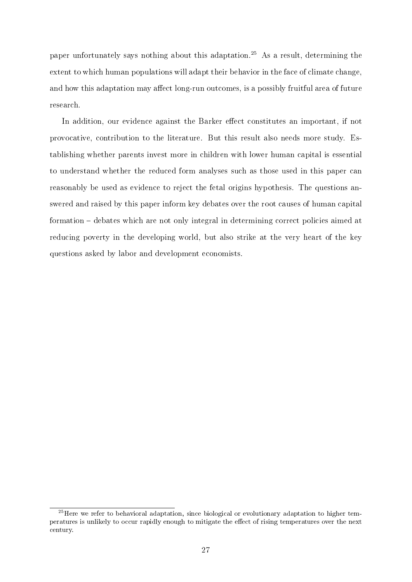paper unfortunately says nothing about this adaptation.<sup>25</sup> As a result, determining the extent to which human populations will adapt their behavior in the face of climate change, and how this adaptation may affect long-run outcomes, is a possibly fruitful area of future research.

In addition, our evidence against the Barker effect constitutes an important, if not provocative, contribution to the literature. But this result also needs more study. Establishing whether parents invest more in children with lower human capital is essential to understand whether the reduced form analyses such as those used in this paper can reasonably be used as evidence to reject the fetal origins hypothesis. The questions answered and raised by this paper inform key debates over the root causes of human capital formation – debates which are not only integral in determining correct policies aimed at reducing poverty in the developing world, but also strike at the very heart of the key questions asked by labor and development economists.

<sup>&</sup>lt;sup>25</sup>Here we refer to behavioral adaptation, since biological or evolutionary adaptation to higher temperatures is unlikely to occur rapidly enough to mitigate the effect of rising temperatures over the next century.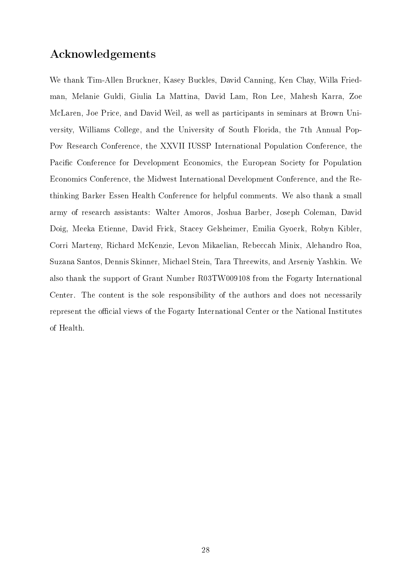## Acknowledgements

We thank Tim-Allen Bruckner, Kasey Buckles, David Canning, Ken Chay, Willa Friedman, Melanie Guldi, Giulia La Mattina, David Lam, Ron Lee, Mahesh Karra, Zoe McLaren, Joe Price, and David Weil, as well as participants in seminars at Brown University, Williams College, and the University of South Florida, the 7th Annual Pop-Pov Research Conference, the XXVII IUSSP International Population Conference, the Pacific Conference for Development Economics, the European Society for Population Economics Conference, the Midwest International Development Conference, and the Rethinking Barker Essen Health Conference for helpful comments. We also thank a small army of research assistants: Walter Amoros, Joshua Barber, Joseph Coleman, David Doig, Meeka Etienne, David Frick, Stacey Gelsheimer, Emilia Gyoerk, Robyn Kibler, Corri Marteny, Richard McKenzie, Levon Mikaelian, Rebeccah Minix, Alehandro Roa, Suzana Santos, Dennis Skinner, Michael Stein, Tara Threewits, and Arseniy Yashkin. We also thank the support of Grant Number R03TW009108 from the Fogarty International Center. The content is the sole responsibility of the authors and does not necessarily represent the official views of the Fogarty International Center or the National Institutes of Health.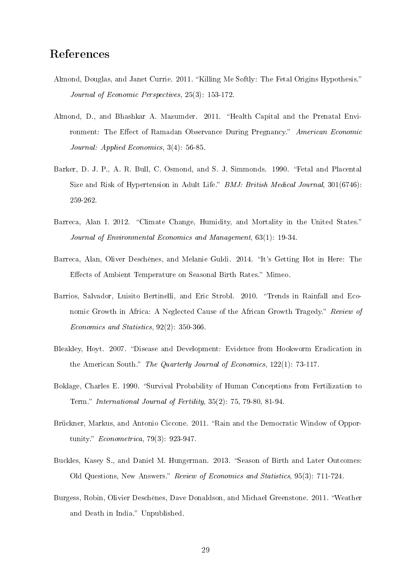## References

- Almond, Douglas, and Janet Currie. 2011. "Killing Me Softly: The Fetal Origins Hypothesis." Journal of Economic Perspectives, 25(3): 153-172.
- Almond, D., and Bhashkar A. Mazumder. 2011. "Health Capital and the Prenatal Environment: The Effect of Ramadan Observance During Pregnancy." American Economic Journal: Applied Economics, 3(4): 56-85.
- Barker, D. J. P., A. R. Bull, C. Osmond, and S. J. Simmonds. 1990. "Fetal and Placental Size and Risk of Hypertension in Adult Life." BMJ: British Medical Journal, 301(6746): 259-262.
- Barreca, Alan I. 2012. "Climate Change, Humidity, and Mortality in the United States." Journal of Environmental Economics and Management, 63(1): 19-34.
- Barreca, Alan, Oliver Deschênes, and Melanie Guldi. 2014. "It's Getting Hot in Here: The Effects of Ambient Temperature on Seasonal Birth Rates." Mimeo.
- Barrios, Salvador, Luisito Bertinelli, and Eric Strobl. 2010. "Trends in Rainfall and Economic Growth in Africa: A Neglected Cause of the African Growth Tragedy." Review of Economics and Statistics, 92(2): 350-366.
- Bleakley, Hoyt. 2007. "Disease and Development: Evidence from Hookworm Eradication in the American South." The Quarterly Journal of Economics,  $122(1)$ : 73-117.
- Boklage, Charles E. 1990. "Survival Probability of Human Conceptions from Fertilization to Term." International Journal of Fertility,  $35(2)$ : 75, 79-80, 81-94.
- Brückner, Markus, and Antonio Ciccone. 2011. "Rain and the Democratic Window of Opportunity." *Econometrica*, 79(3): 923-947.
- Buckles, Kasey S., and Daniel M. Hungerman. 2013. "Season of Birth and Later Outcomes: Old Questions, New Answers." Review of Economics and Statistics, 95(3): 711-724.
- Burgess, Robin, Olivier Deschênes, Dave Donaldson, and Michael Greenstone. 2011. Weather and Death in India." Unpublished.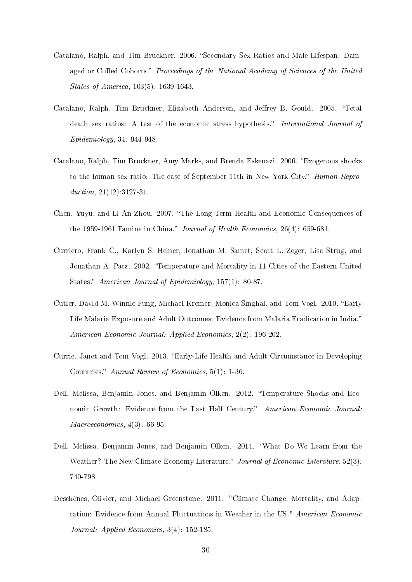- Catalano, Ralph, and Tim Bruckner. 2006. "Secondary Sex Ratios and Male Lifespan: Damaged or Culled Cohorts." Proceedings of the National Academy of Sciences of the United States of America, 103(5): 1639-1643.
- Catalano, Ralph, Tim Bruckner, Elizabeth Anderson, and Jeffrey B. Gould. 2005. "Fetal death sex ratios: A test of the economic stress hypothesis." International Journal of Epidemiology, 34: 944-948.
- Catalano, Ralph, Tim Bruckner, Amy Marks, and Brenda Eskenazi. 2006. "Exogenous shocks to the human sex ratio: The case of September 11th in New York City." *Human Repro*duction,  $21(12):3127-31$ .
- Chen, Yuyu, and Li-An Zhou. 2007. "The Long-Term Health and Economic Consequences of the 1959-1961 Famine in China." Journal of Health Economics,  $26(4)$ : 659-681.
- Curriero, Frank C., Karlyn S. Heiner, Jonathan M. Samet, Scott L. Zeger, Lisa Strug, and Jonathan A. Patz. 2002. "Temperature and Mortality in 11 Cities of the Eastern United States." American Journal of Epidemiology, 157(1): 80-87.
- Cutler, David M, Winnie Fung, Michael Kremer, Monica Singhal, and Tom Vogl. 2010. "Early Life Malaria Exposure and Adult Outcomes: Evidence from Malaria Eradication in India. American Economic Journal: Applied Economics, 2(2): 196-202.
- Currie, Janet and Tom Vogl. 2013. "Early-Life Health and Adult Circumstance in Developing Countries." Annual Review of Economics, 5(1): 1-36.
- Dell, Melissa, Benjamin Jones, and Benjamin Olken. 2012. Temperature Shocks and Economic Growth: Evidence from the Last Half Century." American Economic Journal: Macroeconomics, 4(3): 66-95.
- Dell, Melissa, Benjamin Jones, and Benjamin Olken. 2014. What Do We Learn from the Weather? The New Climate-Economy Literature." Journal of Economic Literature, 52(3): 740-798
- Deschênes, Olivier, and Michael Greenstone. 2011. "Climate Change, Mortality, and Adaptation: Evidence from Annual Fluctuations in Weather in the US." American Economic Journal: Applied Economics, 3(4): 152-185.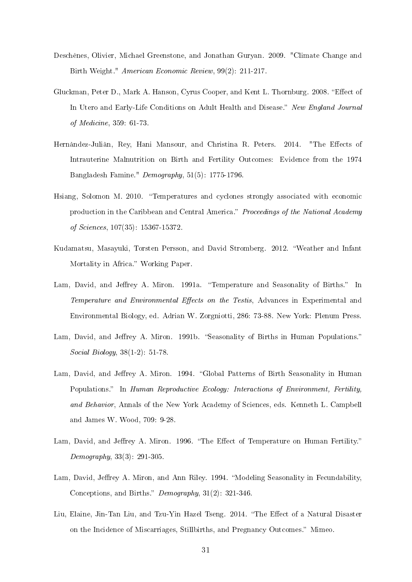- Deschênes, Olivier, Michael Greenstone, and Jonathan Guryan. 2009. "Climate Change and Birth Weight." American Economic Review, 99(2): 211-217.
- Gluckman, Peter D., Mark A. Hanson, Cyrus Cooper, and Kent L. Thornburg. 2008. "Effect of In Utero and Early-Life Conditions on Adult Health and Disease." New England Journal of Medicine, 359: 61-73.
- Hernàndez-Juliàn, Rey, Hani Mansour, and Christina R. Peters. 2014. "The Effects of Intrauterine Malnutrition on Birth and Fertility Outcomes: Evidence from the 1974 Bangladesh Famine." Demography, 51(5): 1775-1796.
- Hsiang, Solomon M. 2010. Temperatures and cyclones strongly associated with economic production in the Caribbean and Central America." Proceedings of the National Academy of Sciences, 107(35): 15367-15372.
- Kudamatsu, Masayuki, Torsten Persson, and David Stromberg. 2012. Weather and Infant Mortality in Africa." Working Paper.
- Lam, David, and Jeffrey A. Miron. 1991a. "Temperature and Seasonality of Births." In Temperature and Environmental Effects on the Testis, Advances in Experimental and Environmental Biology, ed. Adrian W. Zorgniotti, 286: 73-88. New York: Plenum Press.
- Lam, David, and Jeffrey A. Miron. 1991b. "Seasonality of Births in Human Populations." Social Biology, 38(1-2): 51-78.
- Lam, David, and Jeffrey A. Miron. 1994. "Global Patterns of Birth Seasonality in Human Populations." In Human Reproductive Ecology: Interactions of Environment, Fertility, and Behavior, Annals of the New York Academy of Sciences, eds. Kenneth L. Campbell and James W. Wood, 709: 9-28.
- Lam, David, and Jeffrey A. Miron. 1996. "The Effect of Temperature on Human Fertility." Demography, 33(3): 291-305.
- Lam, David, Jeffrey A. Miron, and Ann Riley. 1994. "Modeling Seasonality in Fecundability, Conceptions, and Births."  $Demography$ ,  $31(2)$ :  $321-346$ .
- Liu, Elaine, Jin-Tan Liu, and Tzu-Yin Hazel Tseng. 2014. "The Effect of a Natural Disaster on the Incidence of Miscarriages, Stillbirths, and Pregnancy Outcomes." Mimeo.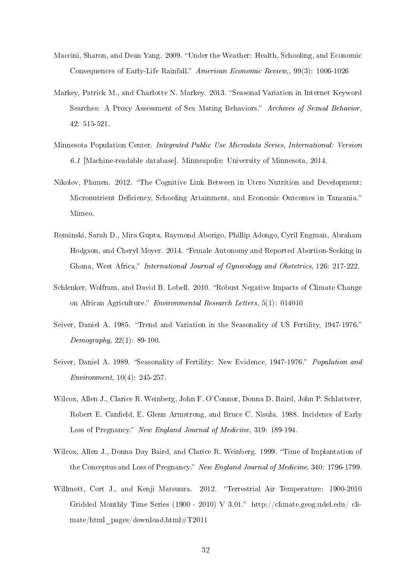- Maccini, Sharon, and Dean Yang. 2009. "Under the Weather: Health, Schooling, and Economic Consequences of Early-Life Rainfall." American Economic Review,, 99(3): 1006-1026
- Markey, Patrick M., and Charlotte N. Markey. 2013. "Seasonal Variation in Internet Keyword Searches: A Proxy Assessment of Sex Mating Behaviors." Archives of Sexual Behavior, 42: 515-521.
- Minnesota Population Center. Integrated Public Use Microdata Series, International: Version 6.1 [Machine-readable database]. Minneapolis: University of Minnesota, 2014.
- Nikolov, Plamen. 2012. The Cognitive Link Between in Utero Nutrition and Development: Micronutrient Deficiency, Schooling Attainment, and Economic Outcomes in Tanzania." Mimeo.
- Rominski, Sarah D., Mira Gupta, Raymond Aborigo, Phillip Adongo, Cyril Engman, Abraham Hodgson, and Cheryl Moyer. 2014. Female Autonomy and Reported Abortion-Seeking in Ghana, West Africa." International Journal of Gynecology and Obstetrics, 126: 217-222.
- Schlenker, Wolfram, and David B. Lobell. 2010. "Robust Negative Impacts of Climate Change on African Agriculture." *Environmental Research Letters*,  $5(1)$ : 014010
- Seiver, Daniel A. 1985. "Trend and Variation in the Seasonality of US Fertility, 1947-1976." Demography,  $22(1)$ : 89-100.
- Seiver, Daniel A. 1989. "Seasonality of Fertility: New Evidence, 1947-1976." Population and Environment, 10(4): 245-257.
- Wilcox, Allen J., Clarice R. Weinberg, John F. O'Connor, Donna D. Baird, John P. Schlatterer, Robert E. Canfield, E. Glenn Armstrong, and Bruce C. Nisula. 1988. Incidence of Early Loss of Pregnancy." New England Journal of Medicine, 319: 189-194.
- Wilcox, Allen J., Donna Day Baird, and Clarice R. Weinberg. 1999. "Time of Implantation of the Conceptus and Loss of Pregnancy." New England Journal of Medicine, 340: 1796-1799.
- Willmott, Cort J., and Kenji Matsuura. 2012. "Terrestrial Air Temperature: 1900-2010 Gridded Monthly Time Series (1900 - 2010) V 3.01." http://climate.geog.udel.edu/climate/html\_pages/download.html#T2011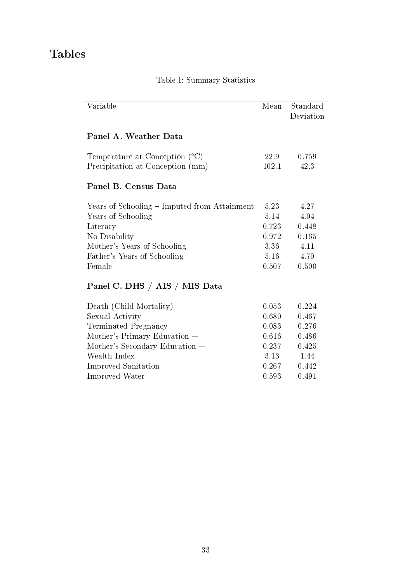## Tables

| Variable                                     | Mean  | Standard<br>Deviation |
|----------------------------------------------|-------|-----------------------|
| Panel A. Weather Data                        |       |                       |
| Temperature at Conception $(°C)$             | 22.9  | 0.759                 |
| Precipitation at Conception (mm)             | 102.1 | 42.3                  |
| Panel B. Census Data                         |       |                       |
| Years of Schooling – Imputed from Attainment | 5.23  | 4.27                  |
| Years of Schooling                           | 5.14  | 4.04                  |
| Literacy                                     | 0.723 | 0.448                 |
| No Disability                                | 0.972 | 0.165                 |
| Mother's Years of Schooling                  | 3.36  | 4.11                  |
| Father's Years of Schooling                  | 5.16  | 4.70                  |
| Female                                       | 0.507 | 0.500                 |
| Panel C. DHS / AIS / MIS Data                |       |                       |
| Death (Child Mortality)                      | 0.053 | 0.224                 |
| Sexual Activity                              | 0.680 | 0.467                 |
| Terminated Pregnancy                         | 0.083 | 0.276                 |
| Mother's Primary Education $+$               | 0.616 | 0.486                 |
| Mother's Secondary Education +               | 0.237 | 0.425                 |
| Wealth Index                                 | 3.13  | 1.44                  |
| Improved Sanitation                          | 0.267 | 0.442                 |
| Improved Water                               | 0.593 | 0.491                 |

## Table I: Summary Statistics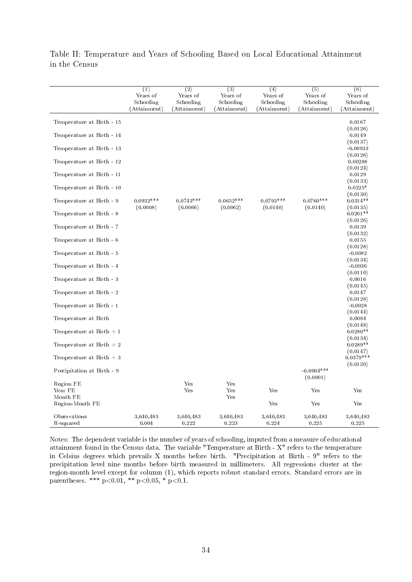|                                                                                                                                                                                                                                                                                                                                                                                                                                                                                                                          | $\overline{(1)}$<br>Years of<br>Schooling | $\overline{2}$<br>Years of<br>Schooling | (3)<br>Years of<br>Schooling            | (4)<br>Years of<br>Schooling            | (5)<br>Years of<br>Schooling            | (6)<br>Years of<br>Schooling                                                                                                                                                                                                                                                                                                                                                                                                                              |
|--------------------------------------------------------------------------------------------------------------------------------------------------------------------------------------------------------------------------------------------------------------------------------------------------------------------------------------------------------------------------------------------------------------------------------------------------------------------------------------------------------------------------|-------------------------------------------|-----------------------------------------|-----------------------------------------|-----------------------------------------|-----------------------------------------|-----------------------------------------------------------------------------------------------------------------------------------------------------------------------------------------------------------------------------------------------------------------------------------------------------------------------------------------------------------------------------------------------------------------------------------------------------------|
| Temperature at Birth - 15<br>Temperature at Birth - 14<br>Temperature at Birth - 13<br>Temperature at Birth - 12<br>Temperature at Birth - 11<br>Temperature at Birth - 10<br>Temperature at Birth - 9<br>Temperature at Birth - 8<br>Temperature at Birth - 7<br>Temperature at Birth - 6<br>Temperature at Birth - 5<br>Temperature at Birth - 4<br>Temperature at Birth - 3<br>Temperature at Birth - 2<br>Temperature at Birth - 1<br>Temperature at Birth<br>Temperature at Birth $+1$<br>Temperature at Birth $+2$ | (Attainment)<br>$0.0932***$<br>(0.0008)   | (Attainment)<br>$0.0743***$<br>(0.0066) | (Attainment)<br>$0.0652***$<br>(0.0062) | (Attainment)<br>$0.0793***$<br>(0.0140) | (Attainment)<br>$0.0760***$<br>(0.0140) | (Attainment)<br>0.0167<br>(0.0126)<br>0.0149<br>(0.0137)<br>$-0.00933$<br>(0.0126)<br>0.00288<br>(0.0124)<br>0.0129<br>(0.0133)<br>$0.0225*$<br>(0.0130)<br>$0.0314**$<br>(0.0135)<br>$0.0261**$<br>(0.0126)<br>0.0139<br>(0.0132)<br>0.0155<br>(0.0128)<br>$-0.0082$<br>(0.0134)<br>$-0.0036$<br>(0.0110)<br>0.0016<br>(0.0145)<br>0.0147<br>(0.0128)<br>$-0.0028$<br>(0.0144)<br>0.0084<br>(0.0148)<br>$0.0280**$<br>(0.0134)<br>$0.0289**$<br>(0.0147) |
| Temperature at Birth $+3$<br>Precipitation at Birth - 9                                                                                                                                                                                                                                                                                                                                                                                                                                                                  |                                           |                                         |                                         |                                         | $-0.0004***$                            | $0.0379***$<br>(0.0120)                                                                                                                                                                                                                                                                                                                                                                                                                                   |
| Region FE<br>Year FE<br>Month FE                                                                                                                                                                                                                                                                                                                                                                                                                                                                                         |                                           | Yes<br>Yes                              | Yes<br>Yes<br>Yes                       | Yes                                     | (0.0001)<br>Yes                         | Yes                                                                                                                                                                                                                                                                                                                                                                                                                                                       |
| Region-Month FE                                                                                                                                                                                                                                                                                                                                                                                                                                                                                                          |                                           |                                         |                                         | Yes                                     | Yes                                     | Yes                                                                                                                                                                                                                                                                                                                                                                                                                                                       |
| Observations<br>R-squared                                                                                                                                                                                                                                                                                                                                                                                                                                                                                                | 3,640,483<br>0.004                        | 3,640,483<br>0.222                      | 3,640,483<br>0.223                      | 3,640,483<br>0.224                      | 3,640,483<br>0.225                      | 3,640,483<br>0.225                                                                                                                                                                                                                                                                                                                                                                                                                                        |

Table II: Temperature and Years of Schooling Based on Local Educational Attainment in the Census

Notes: The dependent variable is the number of years of schooling, imputed from a measure of educational attainment found in the Census data. The variable "Temperature at Birth - X" refers to the temperature in Celsius degrees which prevails X months before birth. "Precipitation at Birth - 9" refers to the precipitation level nine months before birth measured in millimeters. All regressions cluster at the region-month level except for column (1), which reports robust standard errors. Standard errors are in parentheses. \*\*\*  $p < 0.01$ , \*\*  $p < 0.05$ , \*  $p < 0.1$ .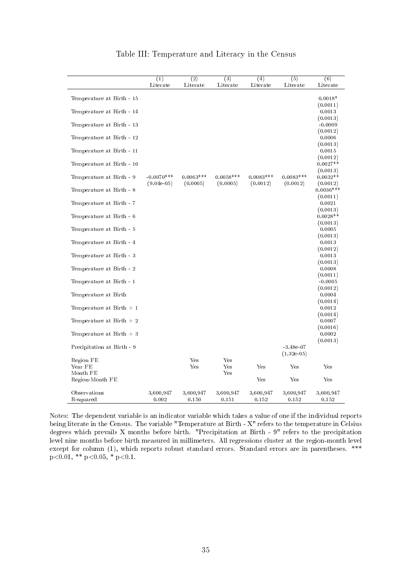|                            | (1)                | $\overline{(2)}$   | $\overline{(3)}$   | (4)                | $\overline{(5)}$             | $\overline{(6)}$               |
|----------------------------|--------------------|--------------------|--------------------|--------------------|------------------------------|--------------------------------|
|                            | Literate           | Literate           | Literate           | Literate           | Literate                     | Literate                       |
| Temperature at Birth - 15  |                    |                    |                    |                    |                              | $0.0018*$                      |
| Temperature at Birth - 14  |                    |                    |                    |                    |                              | (0.0011)<br>0.0013             |
| Temperature at Birth - 13  |                    |                    |                    |                    |                              | (0.0013)<br>$-0.0009$          |
| Temperature at Birth - 12  |                    |                    |                    |                    |                              | (0.0012)<br>0.0006             |
| Temperature at Birth - 11  |                    |                    |                    |                    |                              | (0.0013)<br>0.0015             |
| Temperature at Birth - 10  |                    |                    |                    |                    |                              | (0.0012)<br>$0.0027**$         |
| Temperature at Birth - 9   | $-0.0070***$       | $0.0063***$        | $0.0058***$        | $0.0083***$        | $0.0083***$                  | (0.0013)<br>$0.0032**$         |
| Temperature at Birth - 8   | $(9.04e-0.5)$      | (0.0005)           | (0.0005)           | (0.0012)           | (0.0012)                     | (0.0012)<br>$0.0036***$        |
| Temperature at Birth - 7   |                    |                    |                    |                    |                              | (0.0011)<br>0.0021             |
| Temperature at Birth - 6   |                    |                    |                    |                    |                              | (0.0013)<br>$0.0028**$         |
| Temperature at Birth - 5   |                    |                    |                    |                    |                              | (0.0013)<br>0.0005             |
| Temperature at Birth - 4   |                    |                    |                    |                    |                              | (0.0013)<br>0.0013             |
| Temperature at Birth - 3   |                    |                    |                    |                    |                              | (0.0012)<br>0.0013<br>(0.0013) |
| Temperature at Birth - 2   |                    |                    |                    |                    |                              | 0.0008<br>(0.0011)             |
| Temperature at Birth - 1   |                    |                    |                    |                    |                              | $-0.0005$<br>(0.0012)          |
| Temperature at Birth       |                    |                    |                    |                    |                              | 0.0004<br>(0.0014)             |
| Temperature at Birth $+1$  |                    |                    |                    |                    |                              | 0.0012<br>(0.0014)             |
| Temperature at Birth $+2$  |                    |                    |                    |                    |                              | 0.0007<br>(0.0016)             |
| Temperature at Birth $+3$  |                    |                    |                    |                    |                              | 0.0002<br>(0.0013)             |
| Precipitation at Birth - 9 |                    |                    |                    |                    | $-3.48e-07$<br>$(1.32e-0.5)$ |                                |
| Region FE                  |                    | $_{\rm Yes}$       | Yes                |                    |                              |                                |
| Year FE                    |                    | Yes                | Yes                | Yes                | Yes                          | Yes                            |
| Month FE                   |                    |                    | Yes                |                    |                              |                                |
| Region-Month FE            |                    |                    |                    | Yes                | Yes                          | Yes                            |
| Observations<br>R-squared  | 3,600,947<br>0.002 | 3,600,947<br>0.150 | 3,600,947<br>0.151 | 3,600,947<br>0.152 | 3,600,947<br>0.152           | 3,600,947<br>0.152             |

#### Table III: Temperature and Literacy in the Census

Notes: The dependent variable is an indicator variable which takes a value of one if the individual reports being literate in the Census. The variable "Temperature at Birth - X" refers to the temperature in Celsius degrees which prevails X months before birth. "Precipitation at Birth - 9" refers to the precipitation level nine months before birth measured in millimeters. All regressions cluster at the region-month level except for column (1), which reports robust standard errors. Standard errors are in parentheses. \*\*\*  $p<0.01$ , \*\*  $p<0.05$ , \*  $p<0.1$ .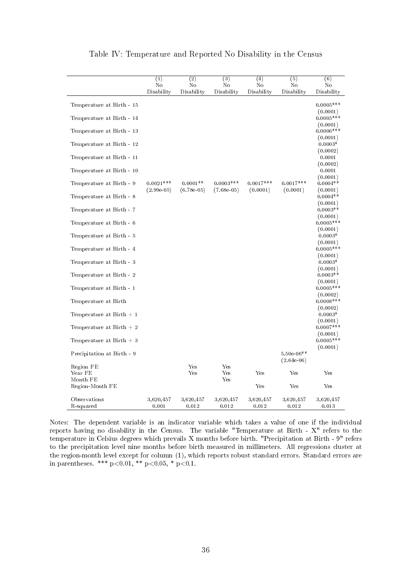|                            | (1)<br>No                   | $\overline{(2)}$<br>No      | $\overline{(3)}$<br>No      | $\overline{(4)}$<br>No  | $\overline{(5)}$<br>No       | (6)<br>No                |
|----------------------------|-----------------------------|-----------------------------|-----------------------------|-------------------------|------------------------------|--------------------------|
|                            | Disability                  | Disability                  | Disability                  | Disability              | Disability                   | Disability               |
| Temperature at Birth - 15  |                             |                             |                             |                         |                              | $0.0005***$<br>(0.0001)  |
| Temperature at Birth - 14  |                             |                             |                             |                         |                              | $0.0005***$<br>(0.0001)  |
| Temperature at Birth - 13  |                             |                             |                             |                         |                              | $0.0006$ ***<br>(0.0001) |
| Temperature at Birth - 12  |                             |                             |                             |                         |                              | $0.0003*$<br>(0.0002)    |
| Temperature at Birth - 11  |                             |                             |                             |                         |                              | 0.0001<br>(0.0002)       |
| Temperature at Birth - 10  |                             |                             |                             |                         |                              | 0.0001<br>(0.0001)       |
| Temperature at Birth - 9   | $0.0021***$<br>$(2.99e-05)$ | $0.0001**$<br>$(6.78e-0.5)$ | $0.0003***$<br>$(7.68e-05)$ | $0.0017***$<br>(0.0001) | $0.0017***$<br>(0.0001)      | $0.0004**$<br>(0.0001)   |
| Temperature at Birth - 8   |                             |                             |                             |                         |                              | $0.0004**$<br>(0.0001)   |
| Temperature at Birth - 7   |                             |                             |                             |                         |                              | $0.0003**$<br>(0.0001)   |
| Temperature at Birth - 6   |                             |                             |                             |                         |                              | $0.0005***$<br>(0.0001)  |
| Temperature at Birth - 5   |                             |                             |                             |                         |                              | $0.0003*$<br>(0.0001)    |
| Temperature at Birth - 4   |                             |                             |                             |                         |                              | $0.0005***$<br>(0.0001)  |
| Temperature at Birth - 3   |                             |                             |                             |                         |                              | $0.0003*$<br>(0.0001)    |
| Temperature at Birth - 2   |                             |                             |                             |                         |                              | $0.0003**$<br>(0.0001)   |
| Temperature at Birth - 1   |                             |                             |                             |                         |                              | $0.0005***$<br>(0.0002)  |
| Temperature at Birth       |                             |                             |                             |                         |                              | $0.0008***$<br>(0.0002)  |
| Temperature at Birth $+1$  |                             |                             |                             |                         |                              | $0.0003*$<br>(0.0001)    |
| Temperature at Birth $+2$  |                             |                             |                             |                         |                              | $0.0007***$<br>(0.0001)  |
| Temperature at Birth $+3$  |                             |                             |                             |                         |                              | $0.0005***$<br>(0.0001)  |
| Precipitation at Birth - 9 |                             |                             |                             |                         | $5.50e-06**$<br>$(2.64e-06)$ |                          |
| Region FE<br>Year FE       |                             | Yes<br>Yes                  | $_{\rm Yes}$<br>Yes         | Yes                     | Yes                          | Yes                      |
| Month FE                   |                             |                             | Yes                         |                         |                              |                          |
| Region-Month FE            |                             |                             |                             | Yes                     | Yes                          | Yes                      |
| Observations<br>R-squared  | 3,620,457<br>0.001          | 3,620,457<br>0.012          | 3,620,457<br>0.012          | 3,620,457<br>0.012      | 3,620,457<br>0.012           | 3,620,457<br>0.013       |

Table IV: Temperature and Reported No Disability in the Census

Notes: The dependent variable is an indicator variable which takes a value of one if the individual reports having no disability in the Census. The variable "Temperature at Birth - X" refers to the temperature in Celsius degrees which prevails X months before birth. "Precipitation at Birth - 9" refers to the precipitation level nine months before birth measured in millimeters. All regressions cluster at the region-month level except for column (1), which reports robust standard errors. Standard errors are in parentheses. \*\*\*  $p<0.01$ , \*\*  $p<0.05$ , \*  $p<0.1$ .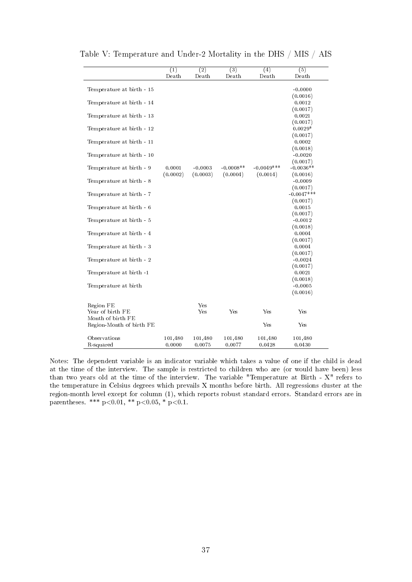|                           | $\overline{(1)}$<br>Death | (2)<br>Death | (3)<br>Death | (4)<br>Death | (5)<br>Death          |
|---------------------------|---------------------------|--------------|--------------|--------------|-----------------------|
|                           |                           |              |              |              |                       |
| Temperature at birth - 15 |                           |              |              |              | $-0.0000$             |
|                           |                           |              |              |              | (0.0016)              |
| Temperature at birth - 14 |                           |              |              |              | 0.0012                |
|                           |                           |              |              |              | (0.0017)              |
| Temperature at birth - 13 |                           |              |              |              | 0.0021                |
|                           |                           |              |              |              | (0.0017)<br>$0.0029*$ |
| Temperature at birth - 12 |                           |              |              |              | (0.0017)              |
| Temperature at birth - 11 |                           |              |              |              | 0.0002                |
|                           |                           |              |              |              | (0.0018)              |
| Temperature at birth - 10 |                           |              |              |              | $-0.0020$             |
|                           |                           |              |              |              | (0.0017)              |
| Temperature at birth - 9  | 0.0001                    | $-0.0003$    | $-0.0008**$  | $-0.0049***$ | $-0.0036**$           |
|                           | (0.0002)                  | (0.0003)     | (0.0004)     | (0.0014)     | (0.0016)              |
| Temperature at birth - 8  |                           |              |              |              | $-0.0009$             |
|                           |                           |              |              |              | (0.0017)              |
| Temperature at birth - 7  |                           |              |              |              | $-0.0047***$          |
|                           |                           |              |              |              | (0.0017)              |
| Temperature at birth - 6  |                           |              |              |              | 0.0015<br>(0.0017)    |
| Temperature at birth - 5  |                           |              |              |              | $-0.0012$             |
|                           |                           |              |              |              | (0.0018)              |
| Temperature at birth - 4  |                           |              |              |              | 0.0004                |
|                           |                           |              |              |              | (0.0017)              |
| Temperature at birth - 3  |                           |              |              |              | 0.0004                |
|                           |                           |              |              |              | (0.0017)              |
| Temperature at birth - 2  |                           |              |              |              | $-0.0024$             |
|                           |                           |              |              |              | (0.0017)              |
| Temperature at birth -1   |                           |              |              |              | 0.0021                |
|                           |                           |              |              |              | (0.0018)<br>$-0.0005$ |
| Temperature at birth      |                           |              |              |              | (0.0016)              |
|                           |                           |              |              |              |                       |
| Region FE                 |                           | Yes          |              |              |                       |
| Year of birth FE          |                           | Yes          | Yes          | Yes          | Yes                   |
| Month of birth FE         |                           |              |              |              |                       |
| Region-Month of birth FE  |                           |              |              | Yes          | Yes                   |
| Observations              | 101,480                   | 101,480      | 101,480      | 101,480      | 101,480               |
| R-squared                 | 0.0000                    | 0.0075       | 0.0077       | 0.0428       | 0.0430                |

Table V: Temperature and Under-2 Mortality in the DHS / MIS / AIS

Notes: The dependent variable is an indicator variable which takes a value of one if the child is dead at the time of the interview. The sample is restricted to children who are (or would have been) less than two years old at the time of the interview. The variable "Temperature at Birth - X" refers to the temperature in Celsius degrees which prevails X months before birth. All regressions cluster at the region-month level except for column (1), which reports robust standard errors. Standard errors are in parentheses. \*\*\* p<0.01, \*\* p<0.05, \* p<0.1.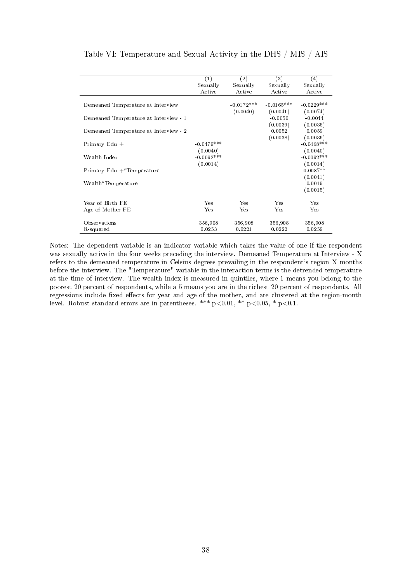|                                          | (1)          | (2)          | (3)          | (4)          |
|------------------------------------------|--------------|--------------|--------------|--------------|
|                                          | Sexually     | Sexually     | Sexually     | Sexually     |
|                                          | Active       | Active       | Active       | Active       |
|                                          |              |              |              |              |
| Demeaned Temperature at Interview        |              | $-0.0172***$ | $-0.0165***$ | $-0.0229***$ |
|                                          |              | (0.0040)     | (0.0041)     | (0.0074)     |
| Demeaned Temperature at Interview - 1    |              |              | $-0.0050$    | $-0.0044$    |
|                                          |              |              | (0.0039)     | (0.0036)     |
| Demeaned Temperature at Interview - 2    |              |              | 0.0052       | 0.0059       |
|                                          |              |              | (0.0038)     | (0.0036)     |
| Primary $Edu +$                          | $-0.0479***$ |              |              | $-0.0468***$ |
|                                          | (0.0040)     |              |              | (0.0040)     |
| Wealth Index                             | $-0.0092***$ |              |              | $-0.0092***$ |
|                                          | (0.0014)     |              |              | (0.0014)     |
| Primary Edu $+$ <sup>*</sup> Temperature |              |              |              | $0.0087**$   |
|                                          |              |              |              | (0.0041)     |
| Wealth*Temperature                       |              |              |              | 0.0019       |
|                                          |              |              |              | (0.0015)     |
|                                          |              |              |              |              |
| Year of Birth FE                         | Yes          | Yes          | Yes          | Yes          |
| Age of Mother FE                         | Yes          | Yes          | Yes          | Yes          |
|                                          |              |              |              |              |
| Observations                             | 356,908      | 356,908      | 356,908      | 356,908      |
| R-squared                                | 0.0253       | 0.0221       | 0.0222       | 0.0259       |
|                                          |              |              |              |              |

Table VI: Temperature and Sexual Activity in the DHS / MIS / AIS

Notes: The dependent variable is an indicator variable which takes the value of one if the respondent was sexually active in the four weeks preceding the interview. Demeaned Temperature at Interview - X refers to the demeaned temperature in Celsius degrees prevailing in the respondent's region X months before the interview. The "Temperature" variable in the interaction terms is the detrended temperature at the time of interview. The wealth index is measured in quintiles, where 1 means you belong to the poorest 20 percent of respondents, while a 5 means you are in the richest 20 percent of respondents. All regressions include fixed effects for year and age of the mother, and are clustered at the region-month level. Robust standard errors are in parentheses. \*\*\* p<0.01, \*\* p<0.05, \* p<0.1.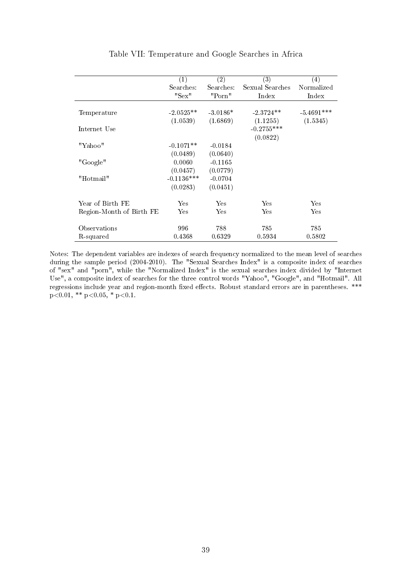|                          | (1)          | $\left( 2\right)$ | $\left( 3\right)$ | $\left( 4\right)$ |
|--------------------------|--------------|-------------------|-------------------|-------------------|
|                          | Searches:    | Searches:         | Sexual Searches   | Normalized        |
|                          | "Sex"        | "Porn"            | Index             | Index             |
|                          |              |                   |                   |                   |
| Temperature              | $-2.0525**$  | $-3.0186*$        | $-2.3724**$       | $-5.4691***$      |
|                          | (1.0539)     | (1.6869)          | (1.1255)          | (1.5345)          |
| Internet Use             |              |                   | $-0.2755***$      |                   |
|                          |              |                   | (0.0822)          |                   |
| "Yahoo"                  | $-0.1071**$  | $-0.0184$         |                   |                   |
|                          | (0.0489)     | (0.0640)          |                   |                   |
| "Google"                 | 0.0060       | $-0.1165$         |                   |                   |
|                          | (0.0457)     | (0.0779)          |                   |                   |
| "Hotmail"                | $-0.1136***$ | $-0.0704$         |                   |                   |
|                          | (0.0283)     | (0.0451)          |                   |                   |
| Year of Birth FE         | Yes          | Yes               | Yes               | Yes               |
|                          | Yes          | Yes               | Yes               | Yes               |
| Region-Month of Birth FE |              |                   |                   |                   |
| Observations             | 996          | 788               | 785               | 785               |
| R-squared                | 0.4368       | 0.6329            | 0.5934            | 0.5802            |

#### Table VII: Temperature and Google Searches in Africa

Notes: The dependent variables are indexes of search frequency normalized to the mean level of searches during the sample period (2004-2010). The "Sexual Searches Index" is a composite index of searches of "sex" and "porn", while the "Normalized Index" is the sexual searches index divided by "Internet Use", a composite index of searches for the three control words "Yahoo", "Google", and "Hotmail". All regressions include year and region-month fixed effects. Robust standard errors are in parentheses. \*\*\*  $p<0.01$ , \*\*  $p<0.05$ , \*  $p<0.1$ .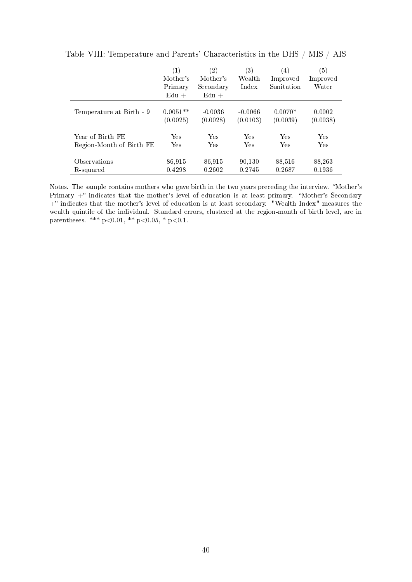|                          | (1)<br>Mother's<br>Primary<br>$Edu +$ | $\left( 2\right)$<br>Mother's<br>Secondary<br>$Edu +$ | (3)<br>Wealth<br>Index | (4)<br>Improved<br>Sanitation | $\left( 5\right)$<br>Improved<br>Water |
|--------------------------|---------------------------------------|-------------------------------------------------------|------------------------|-------------------------------|----------------------------------------|
| Temperature at Birth - 9 | $0.0051**$                            | $-0.0036$                                             | $-0.0066$              | $0.0070*$                     | 0.0002                                 |
|                          | (0.0025)                              | (0.0028)                                              | (0.0103)               | (0.0039)                      | (0.0038)                               |
| Year of Birth FE         | Yes                                   | Yes                                                   | Yes                    | Yes                           | Yes                                    |
| Region-Month of Birth FE | Yes                                   | Yes                                                   | Yes                    | Yes                           | Yes                                    |
| Observations             | 86.915                                | 86.915                                                | 90,130                 | 88,516                        | 88,263                                 |
| R-squared                | 0.4298                                | 0.2602                                                | 0.2745                 | 0.2687                        | 0.1936                                 |

Table VIII: Temperature and Parents' Characteristics in the DHS / MIS / AIS

Notes. The sample contains mothers who gave birth in the two years preceding the interview. "Mother's Primary  $+$ " indicates that the mother's level of education is at least primary. "Mother's Secondary  $+$ " indicates that the mother's level of education is at least secondary. "Wealth Index" measures the wealth quintile of the individual. Standard errors, clustered at the region-month of birth level, are in parentheses. \*\*\*  $p<0.01$ , \*\*  $p<0.05$ , \*  $p<0.1$ .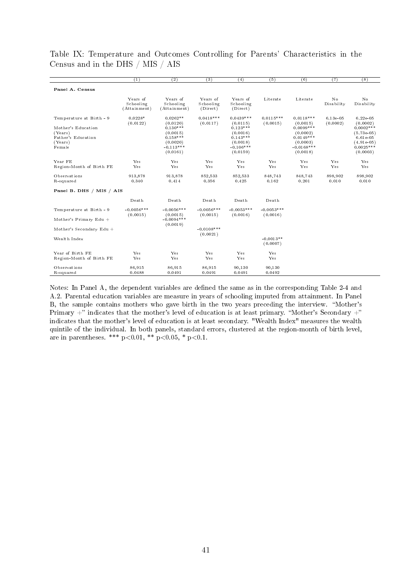|                                                                                                      | (1)                                      | $\overline{(2)}$                                                                                      | $\overline{(3)}$                  | (4)                                                                                                    | (5)                      | (6)                                                                                                       | (7)                  | $\overline{(8)}$                                                                                               |
|------------------------------------------------------------------------------------------------------|------------------------------------------|-------------------------------------------------------------------------------------------------------|-----------------------------------|--------------------------------------------------------------------------------------------------------|--------------------------|-----------------------------------------------------------------------------------------------------------|----------------------|----------------------------------------------------------------------------------------------------------------|
| Panel A. Census                                                                                      |                                          |                                                                                                       |                                   |                                                                                                        |                          |                                                                                                           |                      |                                                                                                                |
|                                                                                                      | Years of<br>Schooling<br>(At tain men t) | Years of<br>Schooling<br>(Attainment)                                                                 | Years of<br>Schooling<br>(Direct) | Years of<br>Schooling<br>(Direct)                                                                      | Literate                 | Literate                                                                                                  | No<br>Disability     | N <sub>o</sub><br>Disability                                                                                   |
| Temperature at Birth - 9<br>Mother's Education<br>(Years)<br>Father's Education<br>(Years)<br>Female | $0.0228*$<br>(0.0122)                    | $0.0262**$<br>(0.0120)<br>$0.130***$<br>(0.0015)<br>$0.158***$<br>(0.0020)<br>$-0.113***$<br>(0.0161) | $0.0418***$<br>(0.0117)           | $0.0439***$<br>(0.0115)<br>$0.123***$<br>(0.0016)<br>$0.143***$<br>(0.0018)<br>$-0.106***$<br>(0.0159) | $0.0115***$<br>(0.0015)  | $0.0118***$<br>(0.0015)<br>$0.0099***$<br>(0.0002)<br>$0.0149***$<br>(0.0003)<br>$-0.0168***$<br>(0.0018) | 6.13e-05<br>(0.0002) | 6.22e-05<br>(0.0002)<br>$0.0002$ ***<br>$(5.73e-05)$<br>$6.61e-0.5$<br>$(4.91e-05)$<br>$0.0025***$<br>(0.0003) |
| Year FE<br>Region-Month of Birth FE                                                                  | Yes<br>Yes                               | Yes<br>Yes                                                                                            | Yes<br>Yes                        | Yes<br>Yes                                                                                             | Yes<br>Yes               | Yes<br>Yes                                                                                                | Yes<br>Yes           | Yes<br>Yes                                                                                                     |
| Observations<br>R-squared                                                                            | 913,878<br>0.340                         | 913,878<br>0.414                                                                                      | 852,533<br>0.356                  | 852,533<br>0.425                                                                                       | 848,743<br>0.162         | 848,743<br>0.201                                                                                          | 898,902<br>0.010     | 898,902<br>0.010                                                                                               |
| Panel B. DHS / MIS / AIS                                                                             |                                          |                                                                                                       |                                   |                                                                                                        |                          |                                                                                                           |                      |                                                                                                                |
|                                                                                                      | Death                                    | Death                                                                                                 | Death                             | Death                                                                                                  | Death                    |                                                                                                           |                      |                                                                                                                |
| Temperature at Birth - 9                                                                             | $-0.0056***$<br>(0.0015)                 | $-0.0056***$<br>(0.0015)                                                                              | $-0.0056$ ***<br>(0.0015)         | $-0.0053***$<br>(0.0016)                                                                               | $-0.0053***$<br>(0.0016) |                                                                                                           |                      |                                                                                                                |
| Mother's Primary Edu $+$                                                                             |                                          | $-0.0094***$<br>(0.0019)                                                                              |                                   |                                                                                                        |                          |                                                                                                           |                      |                                                                                                                |
| Mother's Secondary Edu +                                                                             |                                          |                                                                                                       | $-0.0108***$<br>(0.0021)          |                                                                                                        |                          |                                                                                                           |                      |                                                                                                                |
| Wealth Index                                                                                         |                                          |                                                                                                       |                                   |                                                                                                        | $-0.0013**$<br>(0.0007)  |                                                                                                           |                      |                                                                                                                |
| Year of Birth FE<br>Region-Month of Birth FE                                                         | Yes<br>Yes                               | Yes<br>Yes                                                                                            | Yes<br>Yes                        | Yes<br>Yes                                                                                             | Yes<br>Yes               |                                                                                                           |                      |                                                                                                                |
| Observations<br>R-squared                                                                            | 86,915<br>0.0488                         | 86,915<br>0.0491                                                                                      | 86,915<br>0.0491                  | 90,130<br>0.0491                                                                                       | 90,130<br>0.0492         |                                                                                                           |                      |                                                                                                                |

Table IX: Temperature and Outcomes Controlling for Parents' Characteristics in the Census and in the DHS / MIS / AIS

Notes: In Panel A, the dependent variables are defined the same as in the corresponding Table 2-4 and A.2. Parental education variables are measure in years of schooling imputed from attainment. In Panel B, the sample contains mothers who gave birth in the two years preceding the interview. "Mother's Primary  $+$ " indicates that the mother's level of education is at least primary. "Mother's Secondary  $+$ " indicates that the mother's level of education is at least secondary. "Wealth Index" measures the wealth quintile of the individual. In both panels, standard errors, clustered at the region-month of birth level, are in parentheses. \*\*\* p<0.01, \*\* p<0.05, \* p<0.1.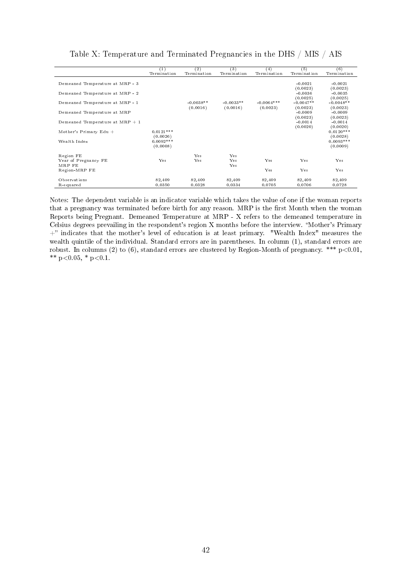|                                   | $^{(1)}$                | (2)                     | (3)                     | (4)                      | (5)                                 | (6)                                 |
|-----------------------------------|-------------------------|-------------------------|-------------------------|--------------------------|-------------------------------------|-------------------------------------|
|                                   | Termination             | Termination             | Termination             | Termination              | Termination                         | Termination                         |
| Demeaned Temperature at MRP - 3   |                         |                         |                         |                          | $-0.0021$<br>(0.0023)               | $-0.0021$<br>(0.0023)               |
| Demeaned Temperature at MRP - 2   |                         |                         |                         |                          | $-0.0036$                           | $-0.0035$                           |
| Demeaned Temperature at MRP - 1   |                         | $-0.0038**$<br>(0.0016) | $-0.0033**$<br>(0.0016) | $-0.0064***$<br>(0.0023) | (0.0025)<br>$-0.0047**$<br>(0.0023) | (0.0025)<br>$-0.0048**$<br>(0.0023) |
| Demeaned Temperature at MRP       |                         |                         |                         |                          | $-0.0009$<br>(0.0023)               | $-0.0009$<br>(0.0023)               |
| Demeaned Temperature at $MRP + 1$ |                         |                         |                         |                          | $-0.0014$<br>(0.0020)               | $-0.0014$<br>(0.0020)               |
| Mother's Primary Edu $+$          | $0.0121***$<br>(0.0026) |                         |                         |                          |                                     | $0.0120***$<br>(0.0028)             |
| Wealth Index                      | $0.0092***$<br>(0.0008) |                         |                         |                          |                                     | $0.0093***$<br>(0.0009)             |
| Region FE                         |                         | Yes                     | Yes                     |                          |                                     |                                     |
| Year of Pregnancy FE<br>MRP FE    | Yes                     | Yes                     | Yes<br>Yes              | Yes                      | Yes                                 | Yes                                 |
| Region-MRP FE                     |                         |                         |                         | Yes                      | Yes                                 | Yes                                 |
| Observations                      | 82,409                  | 82,409                  | 82,409                  | 82,409                   | 82,409                              | 82,409                              |
| R-squared                         | 0.0350                  | 0.0328                  | 0.0334                  | 0.0705                   | 0.0706                              | 0.0728                              |

Table X: Temperature and Terminated Pregnancies in the DHS / MIS / AIS

Notes: The dependent variable is an indicator variable which takes the value of one if the woman reports that a pregnancy was terminated before birth for any reason. MRP is the first Month when the woman Reports being Pregnant. Demeaned Temperature at MRP - X refers to the demeaned temperature in Celsius degrees prevailing in the respondent's region X months before the interview. "Mother's Primary +" indicates that the mother's level of education is at least primary. "Wealth Index" measures the wealth quintile of the individual. Standard errors are in parentheses. In column (1), standard errors are robust. In columns (2) to (6), standard errors are clustered by Region-Month of pregnancy. \*\*\* p<0.01, \*\*  $p<0.05$ , \*  $p<0.1$ .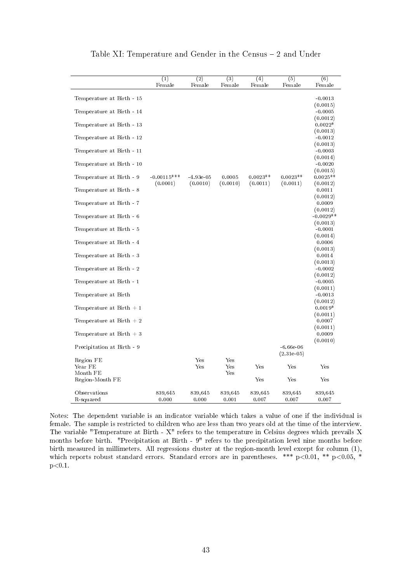|                                         | $\overline{(1)}$ | $\overline{(2)}$ | $\overline{(3)}$ | $\overline{(4)}$ | $\overline{(5)}$ | (6)                     |
|-----------------------------------------|------------------|------------------|------------------|------------------|------------------|-------------------------|
|                                         | Female           | Female           | Female           | Female           | Female           | Female                  |
|                                         |                  |                  |                  |                  |                  |                         |
| Temperature at Birth - 15               |                  |                  |                  |                  |                  | $-0.0013$               |
| Temperature at Birth - 14               |                  |                  |                  |                  |                  | (0.0015)<br>$-0.0005$   |
|                                         |                  |                  |                  |                  |                  | (0.0012)                |
| Temperature at Birth - 13               |                  |                  |                  |                  |                  | $0.0022*$               |
|                                         |                  |                  |                  |                  |                  | (0.0013)                |
| Temperature at Birth - 12               |                  |                  |                  |                  |                  | $-0.0012$               |
|                                         |                  |                  |                  |                  |                  | (0.0013)                |
| Temperature at Birth - 11               |                  |                  |                  |                  |                  | $-0.0003$               |
| Temperature at Birth - 10               |                  |                  |                  |                  |                  | (0.0014)<br>$-0.0020$   |
|                                         |                  |                  |                  |                  |                  | (0.0015)                |
| Temperature at Birth - 9                | $-0.00115***$    | $-4.93e-05$      | 0.0005           | $0.0023**$       | $0.0023**$       | $0.0025**$              |
|                                         | (0.0001)         | (0.0010)         | (0.0010)         | (0.0011)         | (0.0011)         | (0.0012)                |
| Temperature at Birth - 8                |                  |                  |                  |                  |                  | 0.0011                  |
|                                         |                  |                  |                  |                  |                  | (0.0012)                |
| Temperature at Birth - 7                |                  |                  |                  |                  |                  | 0.0009                  |
|                                         |                  |                  |                  |                  |                  | (0.0012)<br>$-0.0029**$ |
| Temperature at Birth - 6                |                  |                  |                  |                  |                  | (0.0013)                |
| Temperature at Birth - 5                |                  |                  |                  |                  |                  | $-0.0001$               |
|                                         |                  |                  |                  |                  |                  | (0.0014)                |
| Temperature at Birth - 4                |                  |                  |                  |                  |                  | 0.0006                  |
|                                         |                  |                  |                  |                  |                  | (0.0013)                |
| Temperature at Birth - $3\,$            |                  |                  |                  |                  |                  | 0.0014                  |
| Temperature at Birth - 2                |                  |                  |                  |                  |                  | (0.0013)<br>$-0.0002$   |
|                                         |                  |                  |                  |                  |                  | (0.0012)                |
| Temperature at Birth - 1                |                  |                  |                  |                  |                  | $-0.0005$               |
|                                         |                  |                  |                  |                  |                  | (0.0011)                |
| Temperature at Birth                    |                  |                  |                  |                  |                  | $-0.0013$               |
|                                         |                  |                  |                  |                  |                  | (0.0012)                |
| Temperature at $\mathrm{Birth}\, +\, 1$ |                  |                  |                  |                  |                  | $0.0019*$               |
| Temperature at Birth $+2$               |                  |                  |                  |                  |                  | (0.0011)<br>0.0007      |
|                                         |                  |                  |                  |                  |                  | (0.0011)                |
| Temperature at Birth $+3$               |                  |                  |                  |                  |                  | 0.0009                  |
|                                         |                  |                  |                  |                  |                  | (0.0010)                |
| Precipitation at Birth - 9              |                  |                  |                  |                  | $-6.66e-06$      |                         |
|                                         |                  |                  |                  |                  | $(2.31e-0.5)$    |                         |
| Region FE<br>Year FE                    |                  | Yes<br>Yes       | Yes              |                  |                  |                         |
| Month FE                                |                  |                  | Yes<br>Yes       | Yes              | Yes              | Yes                     |
| Region-Month FE                         |                  |                  |                  | Yes              | Yes              | Yes                     |
|                                         |                  |                  |                  |                  |                  |                         |
| Observations                            | 839,645          | 839,645          | 839,645          | 839,645          | 839,645          | 839,645                 |
| R-squared                               | 0.000            | 0.000            | 0.001            | 0.007            | 0.007            | 0.007                   |

Table XI: Temperature and Gender in the Census - 2 and Under

Notes: The dependent variable is an indicator variable which takes a value of one if the individual is female. The sample is restricted to children who are less than two years old at the time of the interview. The variable "Temperature at Birth - X" refers to the temperature in Celsius degrees which prevails X months before birth. "Precipitation at Birth - 9" refers to the precipitation level nine months before birth measured in millimeters. All regressions cluster at the region-month level except for column (1), which reports robust standard errors. Standard errors are in parentheses. \*\*\* p<0.01, \*\* p<0.05, \*  $p < 0.1$ .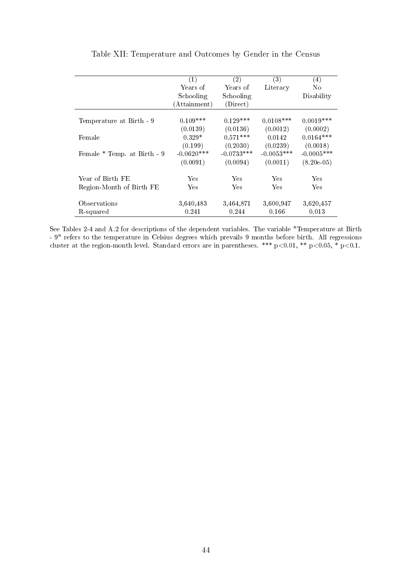|                             | (1)             | (2)          | (3)          | $\left( 4\right)$ |
|-----------------------------|-----------------|--------------|--------------|-------------------|
|                             | Years of        | Years of     | Literacy     | N <sub>0</sub>    |
|                             | Schooling       | Schooling    |              | Disability        |
|                             | (Attentionment) | (Direct)     |              |                   |
|                             |                 |              |              |                   |
| Temperature at Birth - 9    | $0.109***$      | $0.129***$   | $0.0108***$  | $0.0019***$       |
|                             | (0.0139)        | (0.0136)     | (0.0012)     | (0.0002)          |
| Female                      | $0.329*$        | $0.571***$   | 0.0142       | $0.0164***$       |
|                             | (0.199)         | (0.2030)     | (0.0239)     | (0.0018)          |
| Female * Temp. at Birth - 9 | $-0.0620***$    | $-0.0733***$ | $-0.0053***$ | $-0.0005$ ***     |
|                             | (0.0091)        | (0.0094)     | (0.0011)     | $(8.20e-05)$      |
|                             |                 |              |              |                   |
| Year of Birth FE            | Yes             | Yes          | Yes          | Yes               |
| Region-Month of Birth FE    | Yes             | Yes          | Yes          | Yes               |
| Observations                | 3,640,483       | 3,464,871    | 3,600,947    | 3,620,457         |
| R-squared                   | 0.241           | 0.244        | 0.166        | 0.013             |

Table XII: Temperature and Outcomes by Gender in the Census

See Tables 2-4 and A.2 for descriptions of the dependent variables. The variable "Temperature at Birth - 9" refers to the temperature in Celsius degrees which prevails 9 months before birth. All regressions cluster at the region-month level. Standard errors are in parentheses. \*\*\* p<0.01, \*\* p<0.05, \* p<0.1.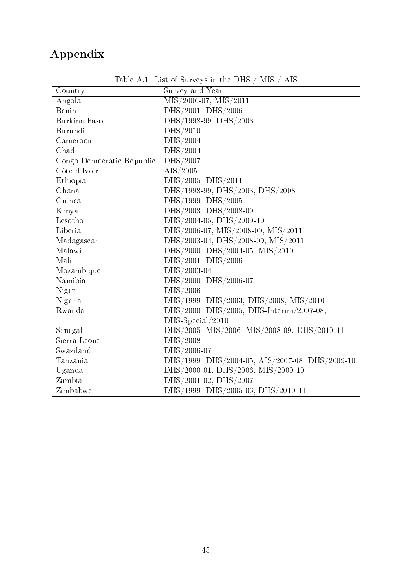## Appendix

| Country                   | Survey and Year                                    |
|---------------------------|----------------------------------------------------|
| Angola                    | $MIS/2006-07$ , $MIS/2011$                         |
| Benin                     | DHS/2001, DHS/2006                                 |
| Burkina Faso              | DHS/1998-99, DHS/2003                              |
| Burundi                   | DHS/2010                                           |
| Cameroon                  | DHS/2004                                           |
| Chad                      | DHS/2004                                           |
| Congo Democratic Republic | DHS/2007                                           |
| Côte d'Ivoire             | AIS/2005                                           |
| Ethiopia                  | DHS/2005, DHS/2011                                 |
| Ghana                     | DHS/1998-99, DHS/2003, DHS/2008                    |
| Guinea                    | DHS/1999, DHS/2005                                 |
| Kenya                     | $\mathrm{DHS}/2003,\, \mathrm{DHS}/2008\text{-}09$ |
| Lesotho                   | DHS/2004-05, DHS/2009-10                           |
| Liberia                   | DHS/2006-07, MIS/2008-09, MIS/2011                 |
| Madagascar                | DHS/2003-04, DHS/2008-09, MIS/2011                 |
| Malawi                    | DHS/2000, DHS/2004-05, MIS/2010                    |
| Mali                      | DHS/2001, DHS/2006                                 |
| Mozambique                | DHS/2003-04                                        |
| Namibia                   | DHS/2000, DHS/2006-07                              |
| Niger                     | DHS/2006                                           |
| Nigeria                   | DHS/1999, DHS/2003, DHS/2008, MIS/2010             |
| Rwanda                    | DHS/2000, DHS/2005, DHS-Interim/2007-08,           |
|                           | DHS-Special/2010                                   |
| Senegal                   | DHS/2005, MIS/2006, MIS/2008-09, DHS/2010-11       |
| Sierra Leone              | DHS/2008                                           |
| Swaziland                 | DHS/2006-07                                        |
| Tanzania                  | DHS/1999, DHS/2004-05, AIS/2007-08, DHS/2009-10    |
| Uganda                    | DHS/2000-01, DHS/2006, MIS/2009-10                 |
| Zambia                    | DHS/2001-02, DHS/2007                              |
| Zimbabwe                  | DHS/1999, DHS/2005-06, DHS/2010-11                 |

Table A.1: List of Surveys in the DHS / MIS / AIS